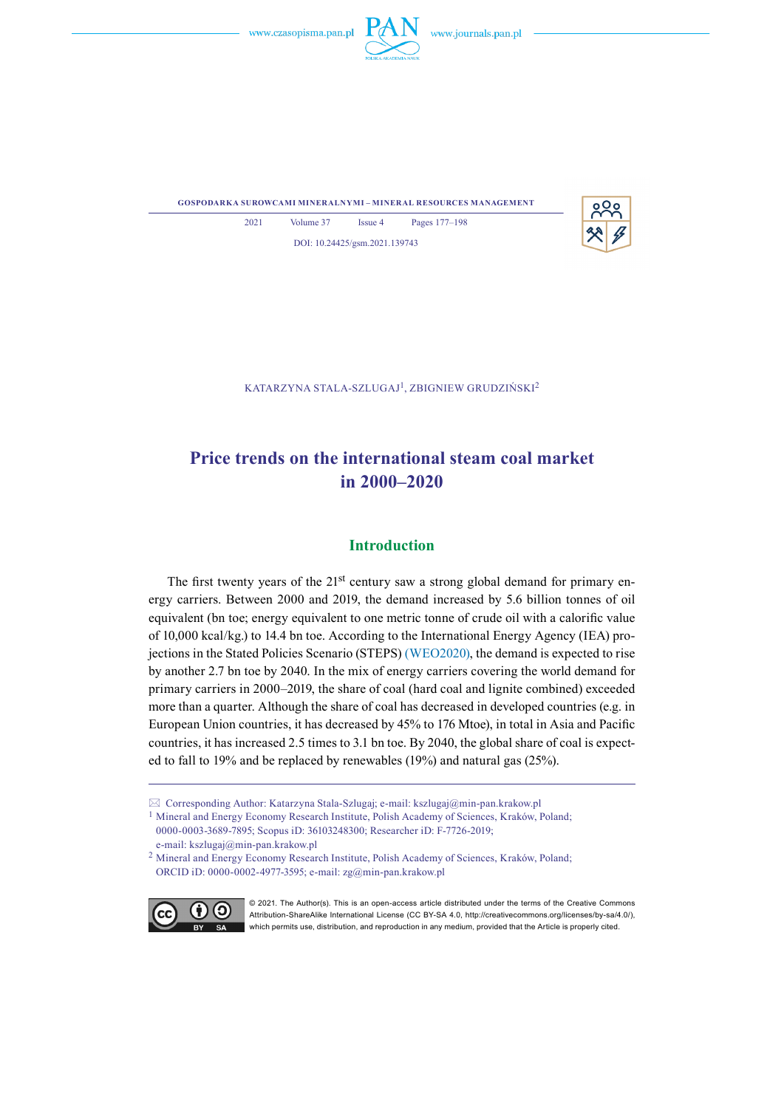



**gospodarka surowcami mineralnymi – mineral resources management**



2021 Volume 37 Issue 4 Pages 177–198 DOI: 10.24425/gsm.2021.139743

KATARZYNA STALA-SZLUGAJ<sup>1</sup>, ZBIGNIEW GRUDZIŃSKI<sup>2</sup>

# **Price trends on the international steam coal market in 2000–2020**

# **Introduction**

The first twenty years of the 21<sup>st</sup> century saw a strong global demand for primary energy carriers. Between 2000 and 2019, the demand increased by 5.6 billion tonnes of oil equivalent (bn toe; energy equivalent to one metric tonne of crude oil with a calorific value of 10,000 kcal/kg.) to 14.4 bn toe. According to the International Energy Agency (IEA) projections in the Stated Policies Scenario (STEPS) (WEO2020), the demand is expected to rise by another 2.7 bn toe by 2040. In the mix of energy carriers covering the world demand for primary carriers in 2000–2019, the share of coal (hard coal and lignite combined) exceeded more than a quarter. Although the share of coal has decreased in developed countries (e.g. in European Union countries, it has decreased by 45% to 176 Mtoe), in total in Asia and Pacific countries, it has increased 2.5 times to 3.1 bn toe. By 2040, the global share of coal is expected to fall to 19% and be replaced by renewables (19%) and natural gas (25%).

 $\boxtimes$  Corresponding Author: Katarzyna Stala-Szlugaj; e-mail: kszlugaj@min-pan.krakow.pl

<sup>2</sup> Mineral and Energy Economy Research Institute, Polish Academy of Sciences, Kraków, Poland; ORCID iD: 0000-0002-4977-3595; e-mail: zg@min-pan.krakow.pl



<sup>© 2021.</sup> The Author(s). This is an open-access article distributed under the terms of the Creative Commons Attribution-ShareAlike International License (CC BY-SA 4.0, http://creativecommons.org/licenses/by-sa/4.0/), which permits use, distribution, and reproduction in any medium, provided that the Article is properly cited.

<sup>1</sup> Mineral and Energy Economy Research Institute, Polish Academy of Sciences, Kraków, Poland; 0000-0003-3689-7895; Scopus iD: 36103248300; Researcher iD: F-7726-2019; e-mail: kszlugaj@min-pan.krakow.pl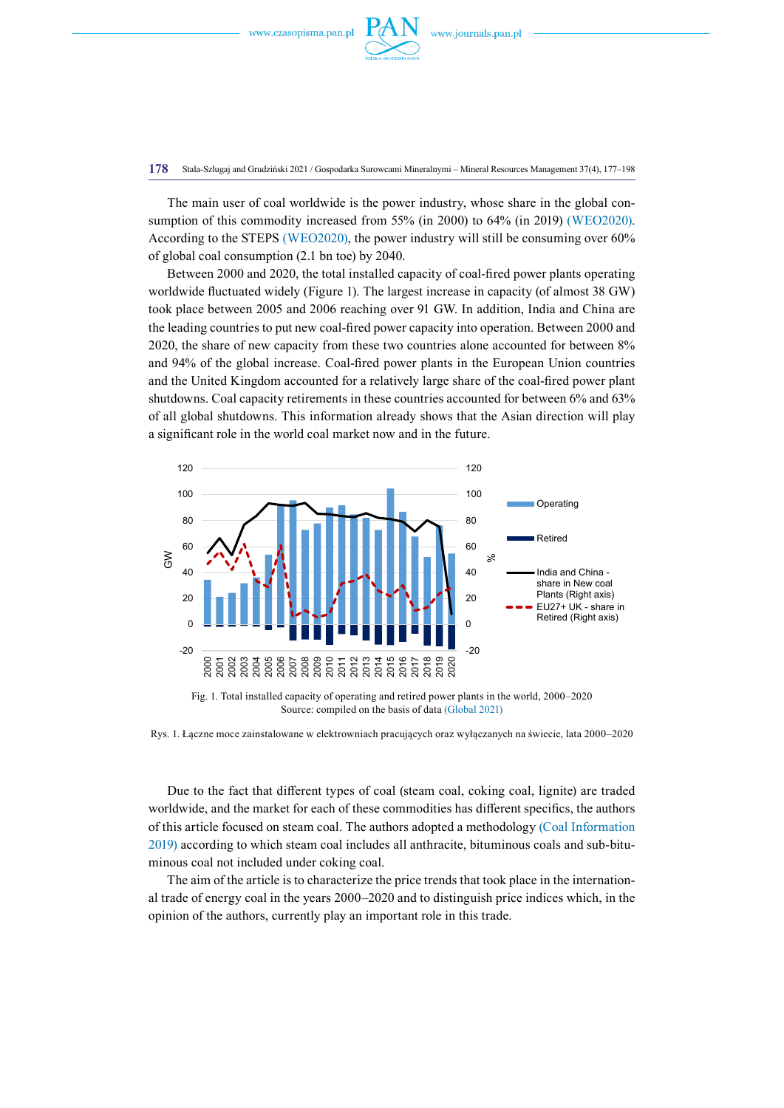

**178** Stala-Szlugaj and Grudziński 2021 / Gospodarka Surowcami Mineralnymi – Mineral Resources Management 37(4), 177–198

The main user of coal worldwide is the power industry, whose share in the global consumption of this commodity increased from 55% (in 2000) to 64% (in 2019) (WEO2020). According to the STEPS (WEO2020), the power industry will still be consuming over 60% of global coal consumption (2.1 bn toe) by 2040.

Between 2000 and 2020, the total installed capacity of coal-fired power plants operating worldwide fluctuated widely (Figure 1). The largest increase in capacity (of almost 38 GW) took place between 2005 and 2006 reaching over 91 GW. In addition, India and China are the leading countries to put new coal-fired power capacity into operation. Between 2000 and 2020, the share of new capacity from these two countries alone accounted for between 8% and 94% of the global increase. Coal-fired power plants in the European Union countries and the United Kingdom accounted for a relatively large share of the coal-fired power plant shutdowns. Coal capacity retirements in these countries accounted for between 6% and 63% of all global shutdowns. This information already shows that the Asian direction will play a significant role in the world coal market now and in the future.



Source: compiled on the basis of data (Global 2021)

Rys. 1. Łączne moce zainstalowane w elektrowniach pracujących oraz wyłączanych na świecie, lata 2000–2020

Due to the fact that different types of coal (steam coal, coking coal, lignite) are traded worldwide, and the market for each of these commodities has different specifics, the authors of this article focused on steam coal. The authors adopted a methodology (Coal Information 2019) according to which steam coal includes all anthracite, bituminous coals and sub-bituminous coal not included under coking coal.

The aim of the article is to characterize the price trends that took place in the international trade of energy coal in the years 2000–2020 and to distinguish price indices which, in the opinion of the authors, currently play an important role in this trade.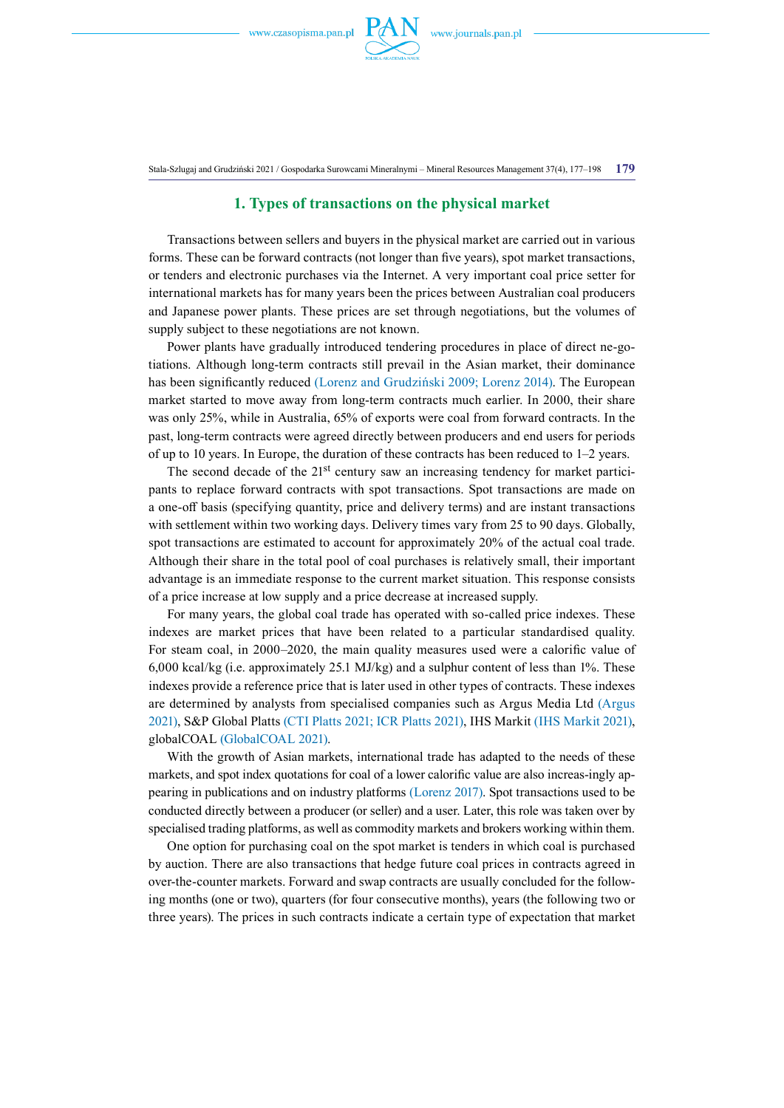

Stala-Szlugaj and Grudziński 2021 / Gospodarka Surowcami Mineralnymi – Mineral Resources Management 37(4), 177–198 **179**

# **1. Types of transactions on the physical market**

Transactions between sellers and buyers in the physical market are carried out in various forms. These can be forward contracts (not longer than five years), spot market transactions, or tenders and electronic purchases via the Internet. A very important coal price setter for international markets has for many years been the prices between Australian coal producers and Japanese power plants. These prices are set through negotiations, but the volumes of supply subject to these negotiations are not known.

Power plants have gradually introduced tendering procedures in place of direct ne-gotiations. Although long-term contracts still prevail in the Asian market, their dominance has been significantly reduced (Lorenz and Grudziński 2009; Lorenz 2014). The European market started to move away from long-term contracts much earlier. In 2000, their share was only 25%, while in Australia, 65% of exports were coal from forward contracts. In the past, long-term contracts were agreed directly between producers and end users for periods of up to 10 years. In Europe, the duration of these contracts has been reduced to  $1-2$  years.

The second decade of the 21<sup>st</sup> century saw an increasing tendency for market participants to replace forward contracts with spot transactions. Spot transactions are made on a one-off basis (specifying quantity, price and delivery terms) and are instant transactions with settlement within two working days. Delivery times vary from 25 to 90 days. Globally, spot transactions are estimated to account for approximately 20% of the actual coal trade. Although their share in the total pool of coal purchases is relatively small, their important advantage is an immediate response to the current market situation. This response consists of a price increase at low supply and a price decrease at increased supply.

For many years, the global coal trade has operated with so-called price indexes. These indexes are market prices that have been related to a particular standardised quality. For steam coal, in 2000–2020, the main quality measures used were a calorific value of 6,000 kcal/kg (i.e. approximately 25.1 MJ/kg) and a sulphur content of less than 1%. These indexes provide a reference price that is later used in other types of contracts. These indexes are determined by analysts from specialised companies such as Argus Media Ltd (Argus 2021), S&P Global Platts (CTI Platts 2021; ICR Platts 2021), IHS Markit (IHS Markit 2021), globalCOAL (GlobalCOAL 2021).

With the growth of Asian markets, international trade has adapted to the needs of these markets, and spot index quotations for coal of a lower calorific value are also increas-ingly appearing in publications and on industry platforms (Lorenz 2017). Spot transactions used to be conducted directly between a producer (or seller) and a user. Later, this role was taken over by specialised trading platforms, as well as commodity markets and brokers working within them.

One option for purchasing coal on the spot market is tenders in which coal is purchased by auction. There are also transactions that hedge future coal prices in contracts agreed in over-the-counter markets. Forward and swap contracts are usually concluded for the following months (one or two), quarters (for four consecutive months), years (the following two or three years). The prices in such contracts indicate a certain type of expectation that market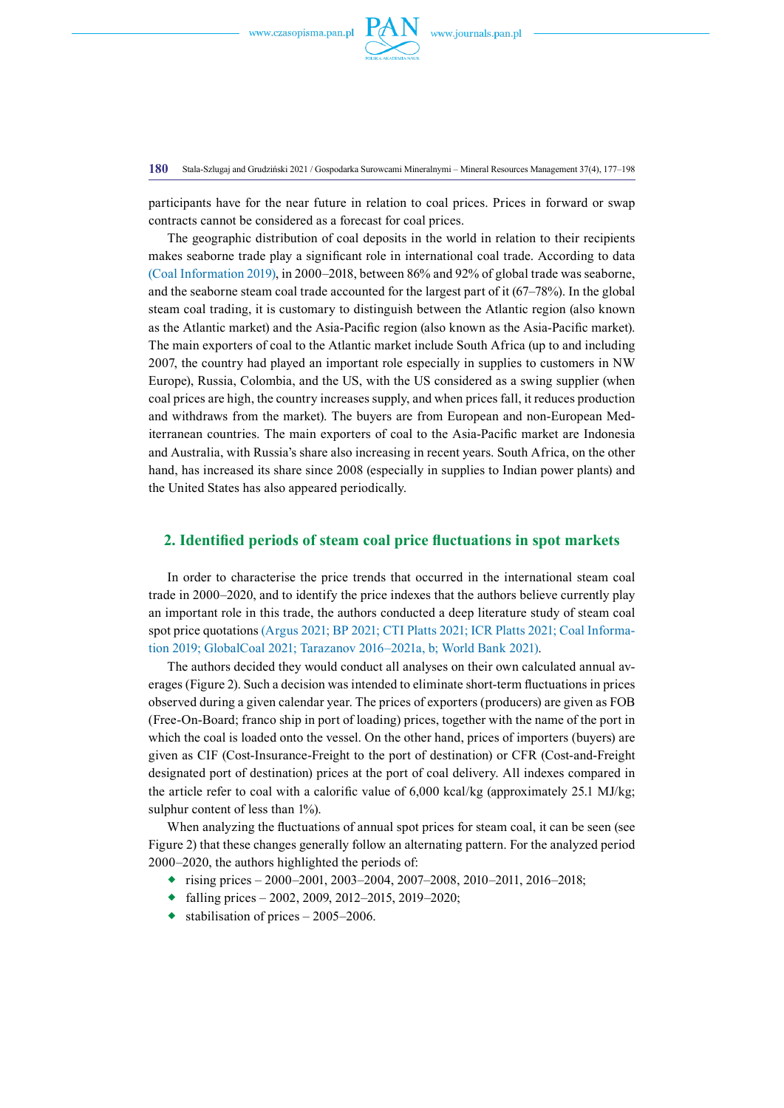

**180** Stala-Szlugaj and Grudziński 2021 / Gospodarka Surowcami Mineralnymi – Mineral Resources Management 37(4), 177–198

participants have for the near future in relation to coal prices. Prices in forward or swap contracts cannot be considered as a forecast for coal prices.

The geographic distribution of coal deposits in the world in relation to their recipients makes seaborne trade play a significant role in international coal trade. According to data (Coal Information 2019), in 2000–2018, between 86% and 92% of global trade was seaborne, and the seaborne steam coal trade accounted for the largest part of it (67–78%). In the global steam coal trading, it is customary to distinguish between the Atlantic region (also known as the Atlantic market) and the Asia-Pacific region (also known as the Asia-Pacific market). The main exporters of coal to the Atlantic market include South Africa (up to and including 2007, the country had played an important role especially in supplies to customers in NW Europe), Russia, Colombia, and the US, with the US considered as a swing supplier (when coal prices are high, the country increases supply, and when prices fall, it reduces production and withdraws from the market). The buyers are from European and non-European Mediterranean countries. The main exporters of coal to the Asia-Pacific market are Indonesia and Australia, with Russia's share also increasing in recent years. South Africa, on the other hand, has increased its share since 2008 (especially in supplies to Indian power plants) and the United States has also appeared periodically.

# **2. Identified periods of steam coal price fluctuations in spot markets**

In order to characterise the price trends that occurred in the international steam coal trade in 2000–2020, and to identify the price indexes that the authors believe currently play an important role in this trade, the authors conducted a deep literature study of steam coal spot price quotations (Argus 2021; BP 2021; CTI Platts 2021; ICR Platts 2021; Coal Information 2019; GlobalCoal 2021; Tarazanov 2016–2021a, b; World Bank 2021).

The authors decided they would conduct all analyses on their own calculated annual averages (Figure 2). Such a decision was intended to eliminate short-term fluctuations in prices observed during a given calendar year. The prices of exporters (producers) are given as FOB (Free-On-Board; franco ship in port of loading) prices, together with the name of the port in which the coal is loaded onto the vessel. On the other hand, prices of importers (buyers) are given as CIF (Cost-Insurance-Freight to the port of destination) or CFR (Cost-and-Freight designated port of destination) prices at the port of coal delivery. All indexes compared in the article refer to coal with a calorific value of 6,000 kcal/kg (approximately 25.1 MJ/kg; sulphur content of less than 1%).

When analyzing the fluctuations of annual spot prices for steam coal, it can be seen (see Figure 2) that these changes generally follow an alternating pattern. For the analyzed period 2000–2020, the authors highlighted the periods of:

- rising prices 2000–2001, 2003–2004, 2007–2008, 2010–2011, 2016–2018;
- $\bullet$  falling prices 2002, 2009, 2012–2015, 2019–2020;
- $\bullet$  stabilisation of prices 2005–2006.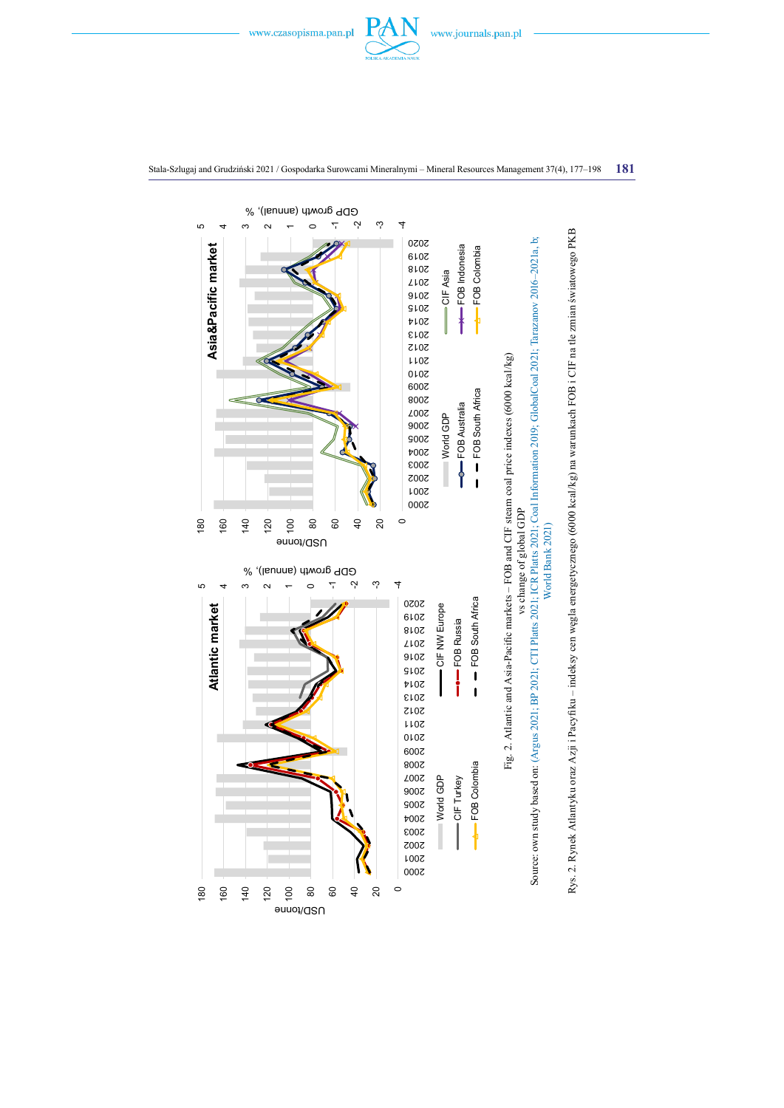

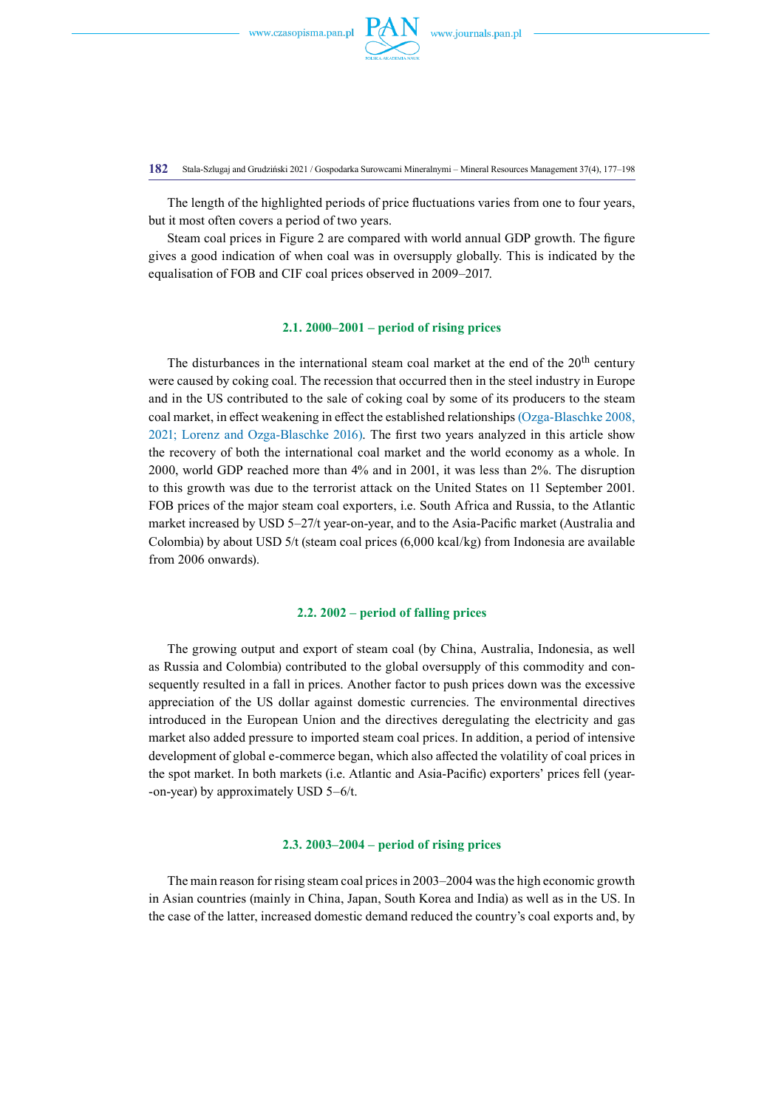

**182** Stala-Szlugaj and Grudziński 2021 / Gospodarka Surowcami Mineralnymi – Mineral Resources Management 37(4), 177–198

The length of the highlighted periods of price fluctuations varies from one to four years, but it most often covers a period of two years.

Steam coal prices in Figure 2 are compared with world annual GDP growth. The figure gives a good indication of when coal was in oversupply globally. This is indicated by the equalisation of FOB and CIF coal prices observed in 2009–2017.

# **2.1. 2000–2001 – period of rising prices**

The disturbances in the international steam coal market at the end of the 20<sup>th</sup> century were caused by coking coal. The recession that occurred then in the steel industry in Europe and in the US contributed to the sale of coking coal by some of its producers to the steam coal market, in effect weakening in effect the established relationships (Ozga-Blaschke 2008, 2021; Lorenz and Ozga-Blaschke 2016). The first two years analyzed in this article show the recovery of both the international coal market and the world economy as a whole. In 2000, world GDP reached more than 4% and in 2001, it was less than 2%. The disruption to this growth was due to the terrorist attack on the United States on 11 September 2001. FOB prices of the major steam coal exporters, i.e. South Africa and Russia, to the Atlantic market increased by USD 5–27/t year-on-year, and to the Asia-Pacific market (Australia and Colombia) by about USD 5/t (steam coal prices (6,000 kcal/kg) from Indonesia are available from 2006 onwards).

# **2.2. 2002 – period of falling prices**

The growing output and export of steam coal (by China, Australia, Indonesia, as well as Russia and Colombia) contributed to the global oversupply of this commodity and consequently resulted in a fall in prices. Another factor to push prices down was the excessive appreciation of the US dollar against domestic currencies. The environmental directives introduced in the European Union and the directives deregulating the electricity and gas market also added pressure to imported steam coal prices. In addition, a period of intensive development of global e-commerce began, which also affected the volatility of coal prices in the spot market. In both markets (i.e. Atlantic and Asia-Pacific) exporters' prices fell (year- -on-year) by approximately USD 5–6/t.

#### **2.3. 2003–2004 – period of rising prices**

The main reason for rising steam coal prices in 2003–2004 was the high economic growth in Asian countries (mainly in China, Japan, South Korea and India) as well as in the US. In the case of the latter, increased domestic demand reduced the country's coal exports and, by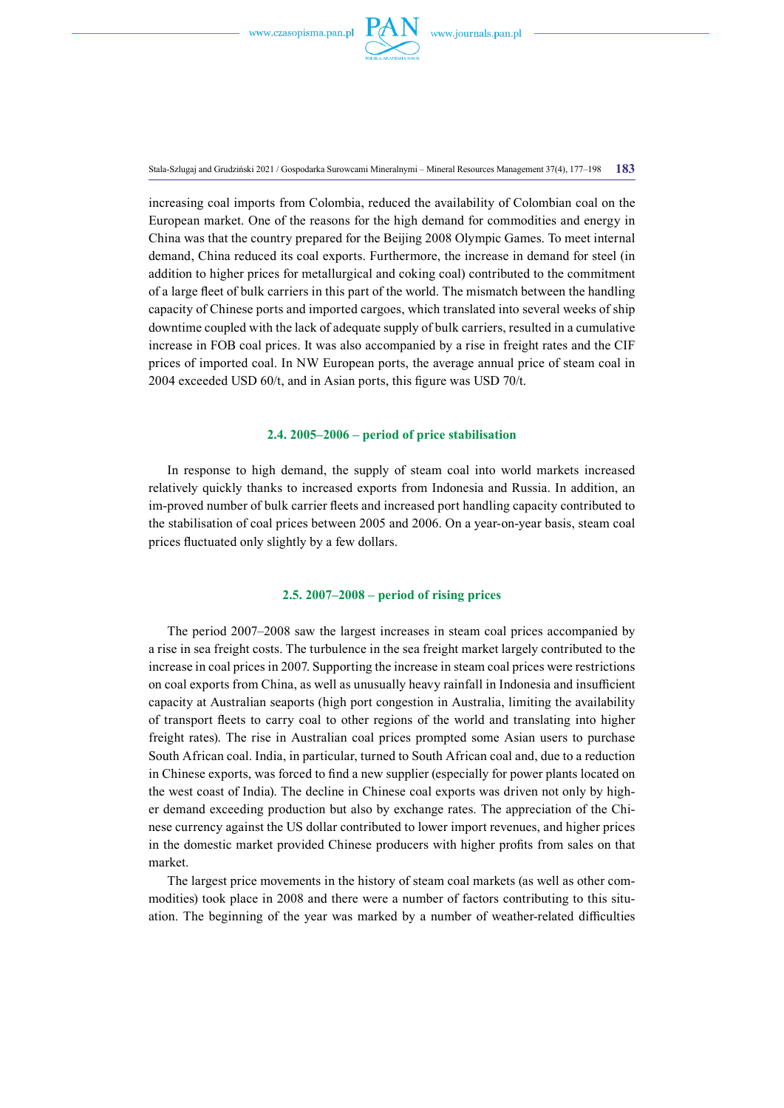

Stala-Szlugaj and Grudziński 2021 / Gospodarka Surowcami Mineralnymi – Mineral Resources Management 37(4), 177–198 **183**

increasing coal imports from Colombia, reduced the availability of Colombian coal on the European market. One of the reasons for the high demand for commodities and energy in China was that the country prepared for the Beijing 2008 Olympic Games. To meet internal demand, China reduced its coal exports. Furthermore, the increase in demand for steel (in addition to higher prices for metallurgical and coking coal) contributed to the commitment of a large fleet of bulk carriers in this part of the world. The mismatch between the handling capacity of Chinese ports and imported cargoes, which translated into several weeks of ship downtime coupled with the lack of adequate supply of bulk carriers, resulted in a cumulative increase in FOB coal prices. It was also accompanied by a rise in freight rates and the CIF prices of imported coal. In NW European ports, the average annual price of steam coal in 2004 exceeded USD 60/t, and in Asian ports, this figure was USD 70/t.

### **2.4. 2005–2006 – period of price stabilisation**

In response to high demand, the supply of steam coal into world markets increased relatively quickly thanks to increased exports from Indonesia and Russia. In addition, an im-proved number of bulk carrier fleets and increased port handling capacity contributed to the stabilisation of coal prices between 2005 and 2006. On a year-on-year basis, steam coal prices fluctuated only slightly by a few dollars.

# **2.5. 2007–2008 – period of rising prices**

The period 2007–2008 saw the largest increases in steam coal prices accompanied by a rise in sea freight costs. The turbulence in the sea freight market largely contributed to the increase in coal prices in 2007. Supporting the increase in steam coal prices were restrictions on coal exports from China, as well as unusually heavy rainfall in Indonesia and insufficient capacity at Australian seaports (high port congestion in Australia, limiting the availability of transport fleets to carry coal to other regions of the world and translating into higher freight rates). The rise in Australian coal prices prompted some Asian users to purchase South African coal. India, in particular, turned to South African coal and, due to a reduction in Chinese exports, was forced to find a new supplier (especially for power plants located on the west coast of India). The decline in Chinese coal exports was driven not only by higher demand exceeding production but also by exchange rates. The appreciation of the Chinese currency against the US dollar contributed to lower import revenues, and higher prices in the domestic market provided Chinese producers with higher profits from sales on that market.

The largest price movements in the history of steam coal markets (as well as other commodities) took place in 2008 and there were a number of factors contributing to this situation. The beginning of the year was marked by a number of weather-related difficulties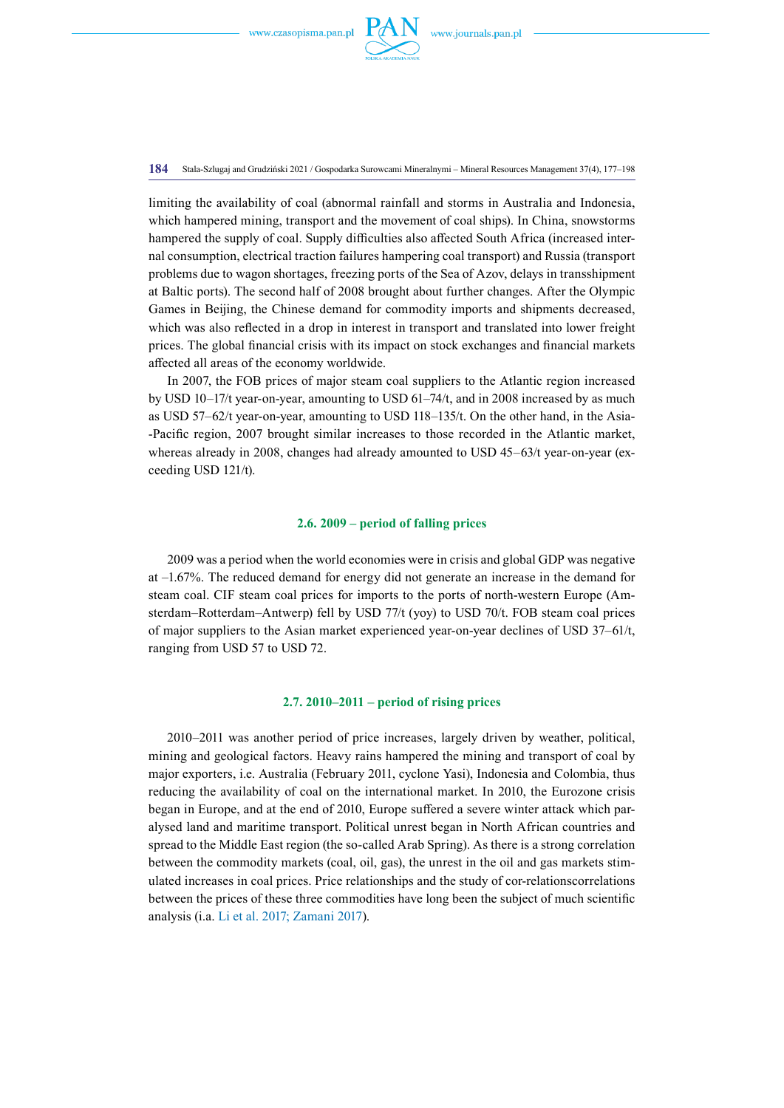

**184** Stala-Szlugaj and Grudziński 2021 / Gospodarka Surowcami Mineralnymi – Mineral Resources Management 37(4), 177–198

limiting the availability of coal (abnormal rainfall and storms in Australia and Indonesia, which hampered mining, transport and the movement of coal ships). In China, snowstorms hampered the supply of coal. Supply difficulties also affected South Africa (increased internal consumption, electrical traction failures hampering coal transport) and Russia (transport problems due to wagon shortages, freezing ports of the Sea of Azov, delays in transshipment at Baltic ports). The second half of 2008 brought about further changes. After the Olympic Games in Beijing, the Chinese demand for commodity imports and shipments decreased, which was also reflected in a drop in interest in transport and translated into lower freight prices. The global financial crisis with its impact on stock exchanges and financial markets affected all areas of the economy worldwide.

In 2007, the FOB prices of major steam coal suppliers to the Atlantic region increased by USD 10–17/t year-on-year, amounting to USD 61–74/t, and in 2008 increased by as much as USD 57–62/t year-on-year, amounting to USD 118–135/t. On the other hand, in the Asia- -Pacific region, 2007 brought similar increases to those recorded in the Atlantic market, whereas already in 2008, changes had already amounted to USD 45–63/t year-on-year (exceeding USD 121/t).

## **2.6. 2009 – period of falling prices**

2009 was a period when the world economies were in crisis and global GDP was negative at –1.67%. The reduced demand for energy did not generate an increase in the demand for steam coal. CIF steam coal prices for imports to the ports of north-western Europe (Amsterdam–Rotterdam–Antwerp) fell by USD 77/t (yoy) to USD 70/t. FOB steam coal prices of major suppliers to the Asian market experienced year-on-year declines of USD 37–61/t, ranging from USD 57 to USD 72.

# **2.7. 2010–2011 – period of rising prices**

2010–2011 was another period of price increases, largely driven by weather, political, mining and geological factors. Heavy rains hampered the mining and transport of coal by major exporters, i.e. Australia (February 2011, cyclone Yasi), Indonesia and Colombia, thus reducing the availability of coal on the international market. In 2010, the Eurozone crisis began in Europe, and at the end of 2010, Europe suffered a severe winter attack which paralysed land and maritime transport. Political unrest began in North African countries and spread to the Middle East region (the so-called Arab Spring). As there is a strong correlation between the commodity markets (coal, oil, gas), the unrest in the oil and gas markets stimulated increases in coal prices. Price relationships and the study of cor-relationscorrelations between the prices of these three commodities have long been the subject of much scientific analysis (i.a. Li et al. 2017; Zamani 2017).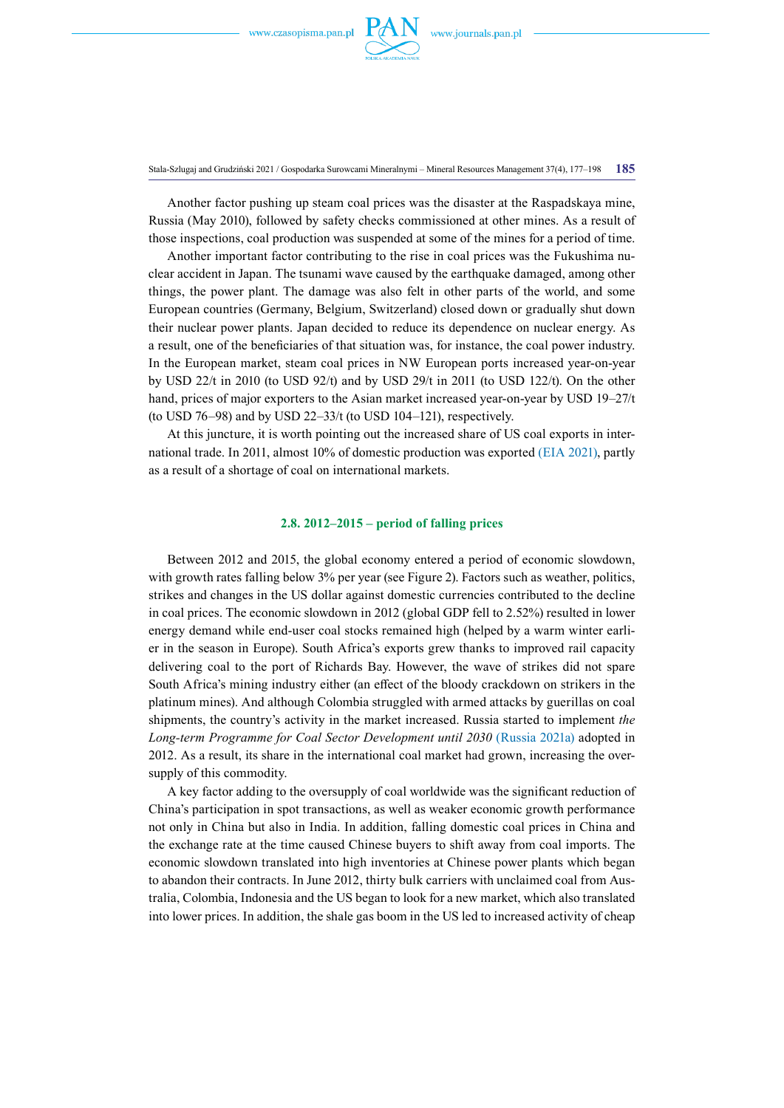

Stala-Szlugaj and Grudziński 2021 / Gospodarka Surowcami Mineralnymi – Mineral Resources Management 37(4), 177–198 **185**

Another factor pushing up steam coal prices was the disaster at the Raspadskaya mine, Russia (May 2010), followed by safety checks commissioned at other mines. As a result of those inspections, coal production was suspended at some of the mines for a period of time.

Another important factor contributing to the rise in coal prices was the Fukushima nuclear accident in Japan. The tsunami wave caused by the earthquake damaged, among other things, the power plant. The damage was also felt in other parts of the world, and some European countries (Germany, Belgium, Switzerland) closed down or gradually shut down their nuclear power plants. Japan decided to reduce its dependence on nuclear energy. As a result, one of the beneficiaries of that situation was, for instance, the coal power industry. In the European market, steam coal prices in NW European ports increased year-on-year by USD 22/t in 2010 (to USD 92/t) and by USD 29/t in 2011 (to USD 122/t). On the other hand, prices of major exporters to the Asian market increased year-on-year by USD 19–27/t (to USD  $76-98$ ) and by USD  $22-33/t$  (to USD  $104-121$ ), respectively.

At this juncture, it is worth pointing out the increased share of US coal exports in international trade. In 2011, almost 10% of domestic production was exported (EIA 2021), partly as a result of a shortage of coal on international markets.

## **2.8. 2012–2015 – period of falling prices**

Between 2012 and 2015, the global economy entered a period of economic slowdown, with growth rates falling below 3% per year (see Figure 2). Factors such as weather, politics, strikes and changes in the US dollar against domestic currencies contributed to the decline in coal prices. The economic slowdown in 2012 (global GDP fell to 2.52%) resulted in lower energy demand while end-user coal stocks remained high (helped by a warm winter earlier in the season in Europe). South Africa's exports grew thanks to improved rail capacity delivering coal to the port of Richards Bay. However, the wave of strikes did not spare South Africa's mining industry either (an effect of the bloody crackdown on strikers in the platinum mines). And although Colombia struggled with armed attacks by guerillas on coal shipments, the country's activity in the market increased. Russia started to implement *the Long-term Programme for Coal Sector Development until 2030* (Russia 2021a) adopted in 2012. As a result, its share in the international coal market had grown, increasing the oversupply of this commodity.

A key factor adding to the oversupply of coal worldwide was the significant reduction of China's participation in spot transactions, as well as weaker economic growth performance not only in China but also in India. In addition, falling domestic coal prices in China and the exchange rate at the time caused Chinese buyers to shift away from coal imports. The economic slowdown translated into high inventories at Chinese power plants which began to abandon their contracts. In June 2012, thirty bulk carriers with unclaimed coal from Australia, Colombia, Indonesia and the US began to look for a new market, which also translated into lower prices. In addition, the shale gas boom in the US led to increased activity of cheap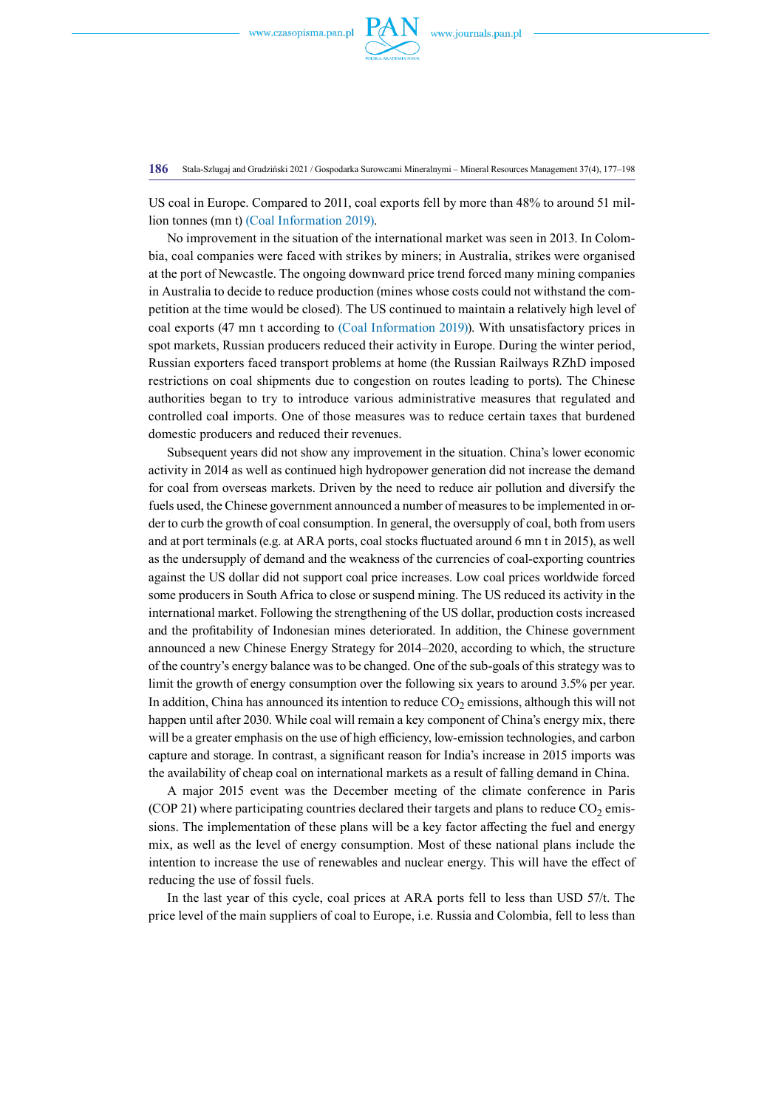

**186** Stala-Szlugaj and Grudziński 2021 / Gospodarka Surowcami Mineralnymi – Mineral Resources Management 37(4), 177–198

US coal in Europe. Compared to 2011, coal exports fell by more than 48% to around 51 million tonnes (mn t) (Coal Information 2019).

No improvement in the situation of the international market was seen in 2013. In Colombia, coal companies were faced with strikes by miners; in Australia, strikes were organised at the port of Newcastle. The ongoing downward price trend forced many mining companies in Australia to decide to reduce production (mines whose costs could not withstand the competition at the time would be closed). The US continued to maintain a relatively high level of coal exports (47 mn t according to (Coal Information 2019)). With unsatisfactory prices in spot markets, Russian producers reduced their activity in Europe. During the winter period, Russian exporters faced transport problems at home (the Russian Railways RZhD imposed restrictions on coal shipments due to congestion on routes leading to ports). The Chinese authorities began to try to introduce various administrative measures that regulated and controlled coal imports. One of those measures was to reduce certain taxes that burdened domestic producers and reduced their revenues.

Subsequent years did not show any improvement in the situation. China's lower economic activity in 2014 as well as continued high hydropower generation did not increase the demand for coal from overseas markets. Driven by the need to reduce air pollution and diversify the fuels used, the Chinese government announced a number of measures to be implemented in order to curb the growth of coal consumption. In general, the oversupply of coal, both from users and at port terminals (e.g. at ARA ports, coal stocks fluctuated around 6 mn t in 2015), as well as the undersupply of demand and the weakness of the currencies of coal-exporting countries against the US dollar did not support coal price increases. Low coal prices worldwide forced some producers in South Africa to close or suspend mining. The US reduced its activity in the international market. Following the strengthening of the US dollar, production costs increased and the profitability of Indonesian mines deteriorated. In addition, the Chinese government announced a new Chinese Energy Strategy for 2014–2020, according to which, the structure of the country's energy balance was to be changed. One of the sub-goals of this strategy was to limit the growth of energy consumption over the following six years to around 3.5% per year. In addition, China has announced its intention to reduce  $CO<sub>2</sub>$  emissions, although this will not happen until after 2030. While coal will remain a key component of China's energy mix, there will be a greater emphasis on the use of high efficiency, low-emission technologies, and carbon capture and storage. In contrast, a significant reason for India's increase in 2015 imports was the availability of cheap coal on international markets as a result of falling demand in China.

A major 2015 event was the December meeting of the climate conference in Paris (COP 21) where participating countries declared their targets and plans to reduce  $CO<sub>2</sub>$  emissions. The implementation of these plans will be a key factor affecting the fuel and energy mix, as well as the level of energy consumption. Most of these national plans include the intention to increase the use of renewables and nuclear energy. This will have the effect of reducing the use of fossil fuels.

In the last year of this cycle, coal prices at ARA ports fell to less than USD 57/t. The price level of the main suppliers of coal to Europe, i.e. Russia and Colombia, fell to less than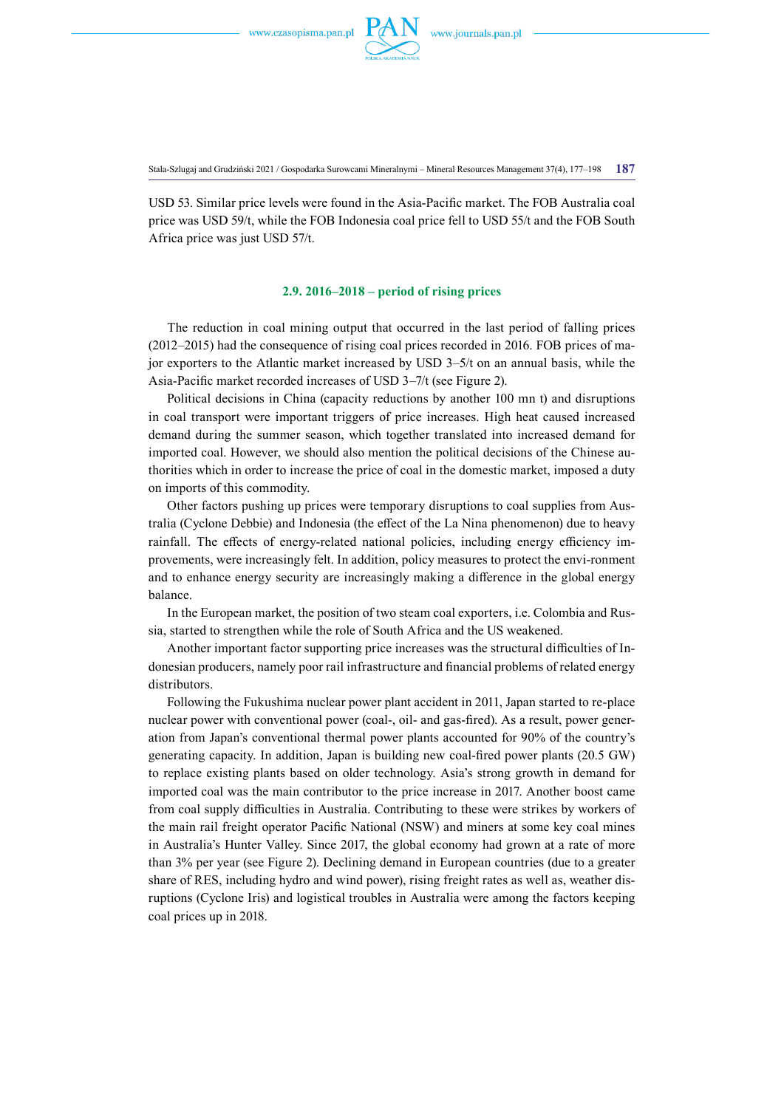

Stala-Szlugaj and Grudziński 2021 / Gospodarka Surowcami Mineralnymi – Mineral Resources Management 37(4), 177–198 **187**

USD 53. Similar price levels were found in the Asia-Pacific market. The FOB Australia coal price was USD 59/t, while the FOB Indonesia coal price fell to USD 55/t and the FOB South Africa price was just USD 57/t.

#### **2.9. 2016–2018 – period of rising prices**

The reduction in coal mining output that occurred in the last period of falling prices (2012–2015) had the consequence of rising coal prices recorded in 2016. FOB prices of major exporters to the Atlantic market increased by USD 3–5/t on an annual basis, while the Asia-Pacific market recorded increases of USD 3–7/t (see Figure 2).

Political decisions in China (capacity reductions by another 100 mn t) and disruptions in coal transport were important triggers of price increases. High heat caused increased demand during the summer season, which together translated into increased demand for imported coal. However, we should also mention the political decisions of the Chinese authorities which in order to increase the price of coal in the domestic market, imposed a duty on imports of this commodity.

Other factors pushing up prices were temporary disruptions to coal supplies from Australia (Cyclone Debbie) and Indonesia (the effect of the La Nina phenomenon) due to heavy rainfall. The effects of energy-related national policies, including energy efficiency improvements, were increasingly felt. In addition, policy measures to protect the envi-ronment and to enhance energy security are increasingly making a difference in the global energy balance.

In the European market, the position of two steam coal exporters, i.e. Colombia and Russia, started to strengthen while the role of South Africa and the US weakened.

Another important factor supporting price increases was the structural difficulties of Indonesian producers, namely poor rail infrastructure and financial problems of related energy distributors.

Following the Fukushima nuclear power plant accident in 2011, Japan started to re-place nuclear power with conventional power (coal-, oil- and gas-fired). As a result, power generation from Japan's conventional thermal power plants accounted for 90% of the country's generating capacity. In addition, Japan is building new coal-fired power plants (20.5 GW) to replace existing plants based on older technology. Asia's strong growth in demand for imported coal was the main contributor to the price increase in 2017. Another boost came from coal supply difficulties in Australia. Contributing to these were strikes by workers of the main rail freight operator Pacific National (NSW) and miners at some key coal mines in Australia's Hunter Valley. Since 2017, the global economy had grown at a rate of more than 3% per year (see Figure 2). Declining demand in European countries (due to a greater share of RES, including hydro and wind power), rising freight rates as well as, weather disruptions (Cyclone Iris) and logistical troubles in Australia were among the factors keeping coal prices up in 2018.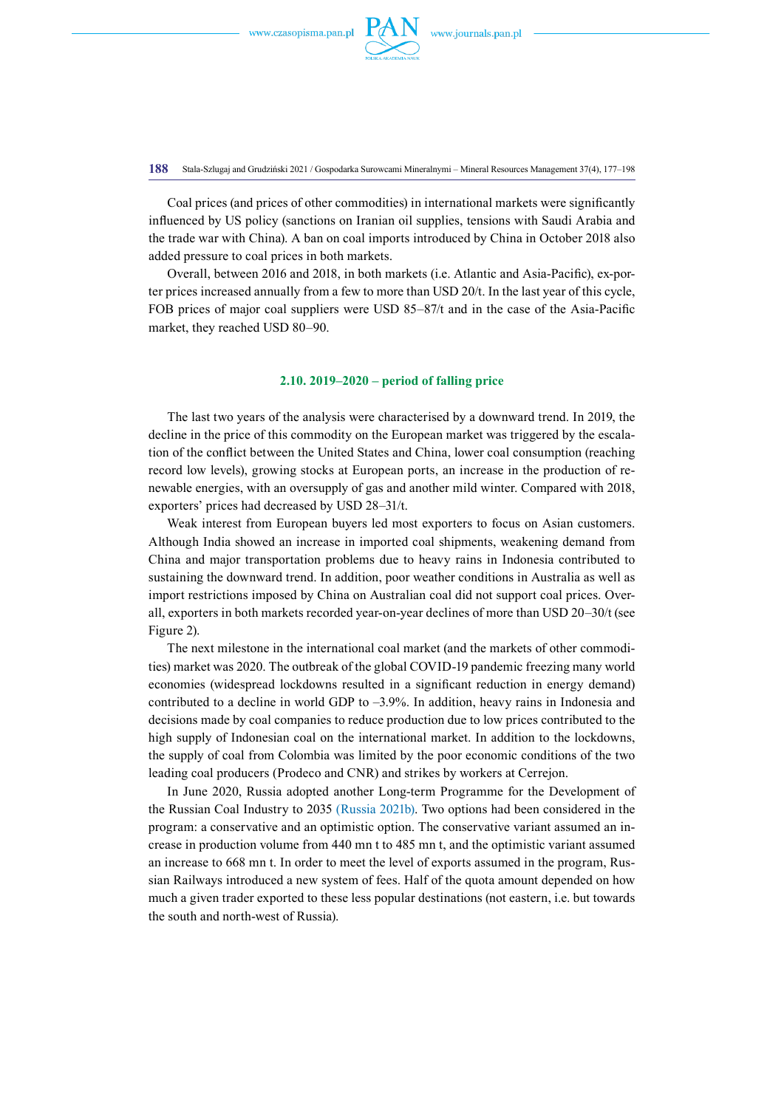

**188** Stala-Szlugaj and Grudziński 2021 / Gospodarka Surowcami Mineralnymi – Mineral Resources Management 37(4), 177–198

Coal prices (and prices of other commodities) in international markets were significantly influenced by US policy (sanctions on Iranian oil supplies, tensions with Saudi Arabia and the trade war with China). A ban on coal imports introduced by China in October 2018 also added pressure to coal prices in both markets.

Overall, between 2016 and 2018, in both markets (i.e. Atlantic and Asia-Pacific), ex-porter prices increased annually from a few to more than USD 20/t. In the last year of this cycle, FOB prices of major coal suppliers were USD 85–87/t and in the case of the Asia-Pacific market, they reached USD 80–90.

## **2.10. 2019–2020 – period of falling price**

The last two years of the analysis were characterised by a downward trend. In 2019, the decline in the price of this commodity on the European market was triggered by the escalation of the conflict between the United States and China, lower coal consumption (reaching record low levels), growing stocks at European ports, an increase in the production of renewable energies, with an oversupply of gas and another mild winter. Compared with 2018, exporters' prices had decreased by USD 28–31/t.

Weak interest from European buyers led most exporters to focus on Asian customers. Although India showed an increase in imported coal shipments, weakening demand from China and major transportation problems due to heavy rains in Indonesia contributed to sustaining the downward trend. In addition, poor weather conditions in Australia as well as import restrictions imposed by China on Australian coal did not support coal prices. Overall, exporters in both markets recorded year-on-year declines of more than USD 20–30/t (see Figure 2).

The next milestone in the international coal market (and the markets of other commodities) market was 2020. The outbreak of the global COVID-19 pandemic freezing many world economies (widespread lockdowns resulted in a significant reduction in energy demand) contributed to a decline in world GDP to  $-3.9\%$ . In addition, heavy rains in Indonesia and decisions made by coal companies to reduce production due to low prices contributed to the high supply of Indonesian coal on the international market. In addition to the lockdowns, the supply of coal from Colombia was limited by the poor economic conditions of the two leading coal producers (Prodeco and CNR) and strikes by workers at Cerrejon.

In June 2020, Russia adopted another Long-term Programme for the Development of the Russian Coal Industry to 2035 (Russia 2021b). Two options had been considered in the program: a conservative and an optimistic option. The conservative variant assumed an increase in production volume from 440 mn t to 485 mn t, and the optimistic variant assumed an increase to 668 mn t. In order to meet the level of exports assumed in the program, Russian Railways introduced a new system of fees. Half of the quota amount depended on how much a given trader exported to these less popular destinations (not eastern, i.e. but towards the south and north-west of Russia).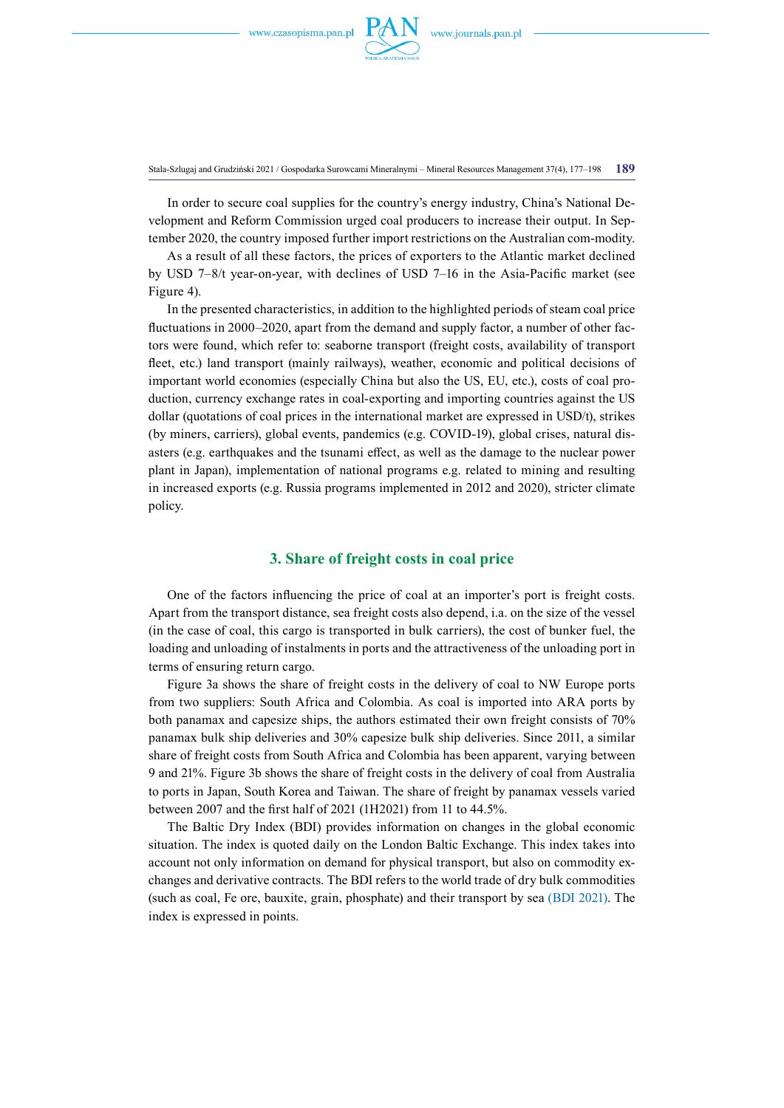

Stala-Szlugaj and Grudziński 2021 / Gospodarka Surowcami Mineralnymi – Mineral Resources Management 37(4), 177–198 **189**

In order to secure coal supplies for the country's energy industry, China's National Development and Reform Commission urged coal producers to increase their output. In September 2020, the country imposed further import restrictions on the Australian com-modity.

As a result of all these factors, the prices of exporters to the Atlantic market declined by USD 7–8/t year-on-year, with declines of USD 7–16 in the Asia-Pacific market (see Figure 4).

In the presented characteristics, in addition to the highlighted periods of steam coal price fluctuations in 2000–2020, apart from the demand and supply factor, a number of other factors were found, which refer to: seaborne transport (freight costs, availability of transport fleet, etc.) land transport (mainly railways), weather, economic and political decisions of important world economies (especially China but also the US, EU, etc.), costs of coal production, currency exchange rates in coal-exporting and importing countries against the US dollar (quotations of coal prices in the international market are expressed in USD/t), strikes (by miners, carriers), global events, pandemics (e.g. COVID-19), global crises, natural disasters (e.g. earthquakes and the tsunami effect, as well as the damage to the nuclear power plant in Japan), implementation of national programs e.g. related to mining and resulting in increased exports (e.g. Russia programs implemented in 2012 and 2020), stricter climate policy.

# **3. Share of freight costs in coal price**

One of the factors influencing the price of coal at an importer's port is freight costs. Apart from the transport distance, sea freight costs also depend, i.a. on the size of the vessel (in the case of coal, this cargo is transported in bulk carriers), the cost of bunker fuel, the loading and unloading of instalments in ports and the attractiveness of the unloading port in terms of ensuring return cargo.

Figure 3a shows the share of freight costs in the delivery of coal to NW Europe ports from two suppliers: South Africa and Colombia. As coal is imported into ARA ports by both panamax and capesize ships, the authors estimated their own freight consists of 70% panamax bulk ship deliveries and 30% capesize bulk ship deliveries. Since 2011, a similar share of freight costs from South Africa and Colombia has been apparent, varying between 9 and 21%. Figure 3b shows the share of freight costs in the delivery of coal from Australia to ports in Japan, South Korea and Taiwan. The share of freight by panamax vessels varied between 2007 and the first half of 2021 (1H2021) from 11 to 44.5%.

The Baltic Dry Index (BDI) provides information on changes in the global economic situation. The index is quoted daily on the London Baltic Exchange. This index takes into account not only information on demand for physical transport, but also on commodity exchanges and derivative contracts. The BDI refers to the world trade of dry bulk commodities (such as coal, Fe ore, bauxite, grain, phosphate) and their transport by sea (BDI 2021). The index is expressed in points.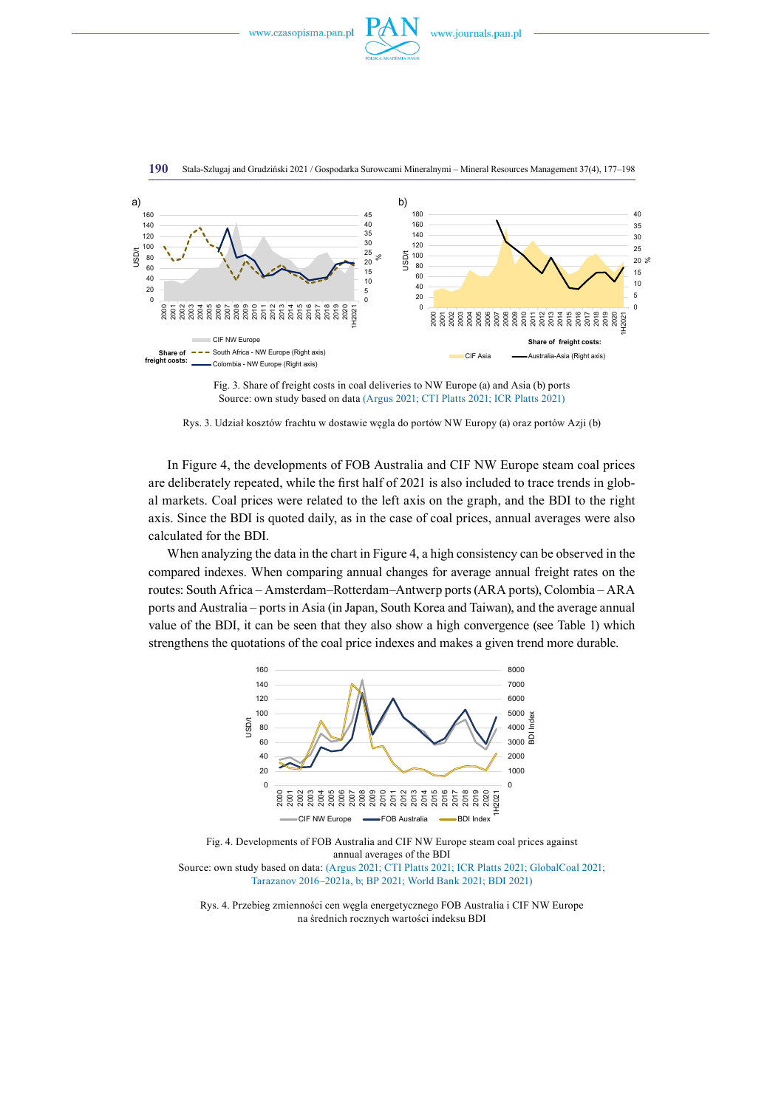





Stala-Szlugaj and Grudziński 2021 / Gospodarka Surowcami Mineralnymi – Mineral Resources Management 37(4), 177–198

Rys. 3. Udział kosztów frachtu w dostawie węgla do portów NW Europy (a) oraz portów Azji (b)

In Figure 4, the developments of FOB Australia and CIF NW Europe steam coal prices are deliberately repeated, while the first half of 2021 is also included to trace trends in global markets. Coal prices were related to the left axis on the graph, and the BDI to the right axis. Since the BDI is quoted daily, as in the case of coal prices, annual averages were also calculated for the BDI.

When analyzing the data in the chart in Figure 4, a high consistency can be observed in the compared indexes. When comparing annual changes for average annual freight rates on the routes: South Africa – Amsterdam–Rotterdam–Antwerp ports (ARA ports), Colombia – ARA ports and Australia – ports in Asia (in Japan, South Korea and Taiwan), and the average annual value of the BDI, it can be seen that they also show a high convergence (see Table 1) which strengthens the quotations of the coal price indexes and makes a given trend more durable.



Fig. 4. Developments of FOB Australia and CIF NW Europe steam coal prices against annual averages of the BDI Source: own study based on data: (Argus 2021; CTI Platts 2021; ICR Platts 2021; GlobalCoal 2021; Tarazanov 2016–2021a, b; BP 2021; World Bank 2021; BDI 2021)



Fig. 3. Share of freight costs in coal deliveries to NW Europe (a) and Asia (b) ports Source: own study based on data (Argus 2021; CTI Platts 2021; ICR Platts 2021)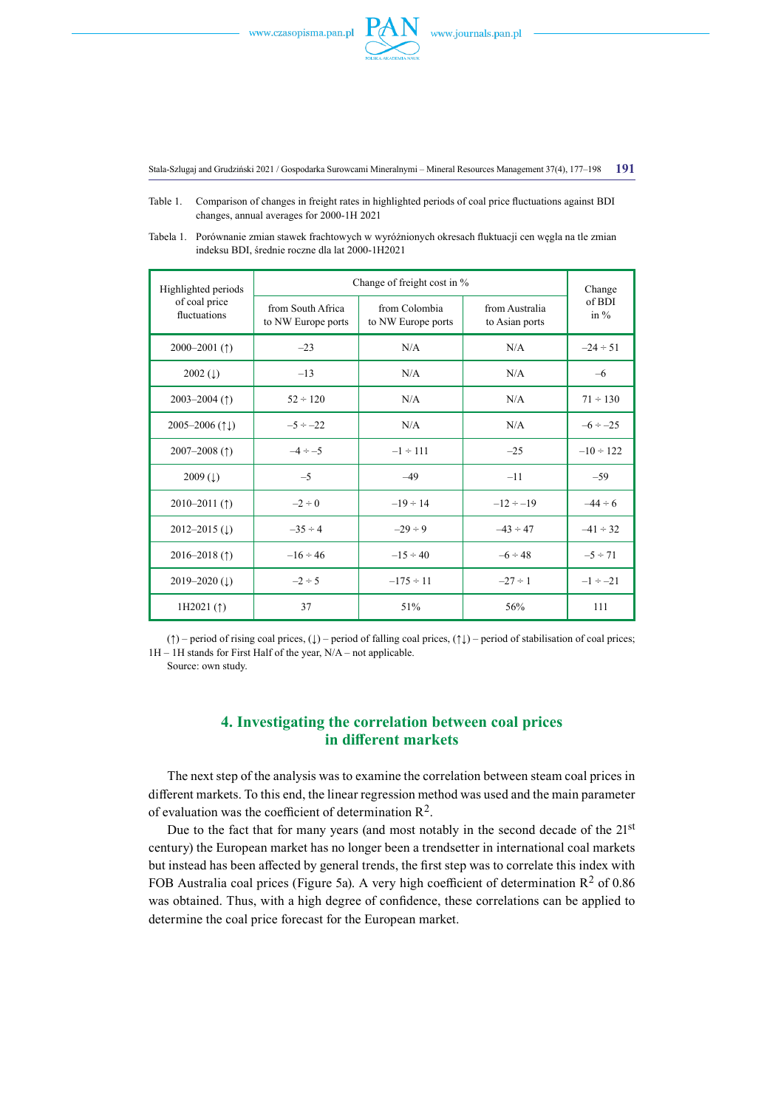

Stala-Szlugaj and Grudziński 2021 / Gospodarka Surowcami Mineralnymi – Mineral Resources Management 37(4), 177–198 **191**

- Table 1. Comparison of changes in freight rates in highlighted periods of coal price fluctuations against BDI changes, annual averages for 2000-1H 2021
- Tabela 1. Porównanie zmian stawek frachtowych w wyróżnionych okresach fluktuacji cen węgla na tle zmian indeksu BDI, średnie roczne dla lat 2000-1H2021

| Highlighted periods<br>of coal price<br>fluctuations | Change of freight cost in %             |                                     |                                  | Change            |
|------------------------------------------------------|-----------------------------------------|-------------------------------------|----------------------------------|-------------------|
|                                                      | from South Africa<br>to NW Europe ports | from Colombia<br>to NW Europe ports | from Australia<br>to Asian ports | of BDI<br>in $\%$ |
| 2000–2001 $($ 1)                                     | $-23$                                   | N/A                                 | N/A                              | $-24 \div 51$     |
| $2002$ (1)                                           | $-13$                                   | N/A                                 | N/A                              | $-6$              |
| $2003 - 2004$ (1)                                    | $52 \div 120$                           | N/A                                 | N/A                              | $71 \div 130$     |
| 2005–2006 $(1)$                                      | $-5 \div -22$                           | N/A                                 | N/A                              | $-6 \div -25$     |
| 2007-2008 $($ 1)                                     | $-4 \div -5$                            | $-1 \div 111$                       | $-25$                            | $-10 \div 122$    |
| $2009 (\downarrow)$                                  | $-5$                                    | $-49$                               | $-11$                            | $-59$             |
| $2010 - 2011$ (1)                                    | $-2 \div 0$                             | $-19 \div 14$                       | $-12 \div -19$                   | $-44 \div 6$      |
| $2012 - 2015$ (1)                                    | $-35 \div 4$                            | $-29 \div 9$                        | $-43 \div 47$                    | $-41 \div 32$     |
| 2016–2018 $($ $)$                                    | $-16 \div 46$                           | $-15 \div 40$                       | $-6 \div 48$                     | $-5 \div 71$      |
| 2019–2020 $(1)$                                      | $-2 \div 5$                             | $-175 \div 11$                      | $-27 \div 1$                     | $-1 \div -21$     |
| 1H2021 $($ $\uparrow$ )                              | 37                                      | 51%                                 | 56%                              | 111               |

(↑) – period of rising coal prices, (↓) – period of falling coal prices, (↑↓) – period of stabilisation of coal prices; 1H – 1H stands for First Half of the year, N/A – not applicable.

Source: own study.

# **4. Investigating the correlation between coal prices in different markets**

The next step of the analysis was to examine the correlation between steam coal prices in different markets. To this end, the linear regression method was used and the main parameter of evaluation was the coefficient of determination  $\mathbb{R}^2$ .

Due to the fact that for many years (and most notably in the second decade of the  $21<sup>st</sup>$ century) the European market has no longer been a trendsetter in international coal markets but instead has been affected by general trends, the first step was to correlate this index with FOB Australia coal prices (Figure 5a). A very high coefficient of determination  $\mathbb{R}^2$  of 0.86 was obtained. Thus, with a high degree of confidence, these correlations can be applied to determine the coal price forecast for the European market.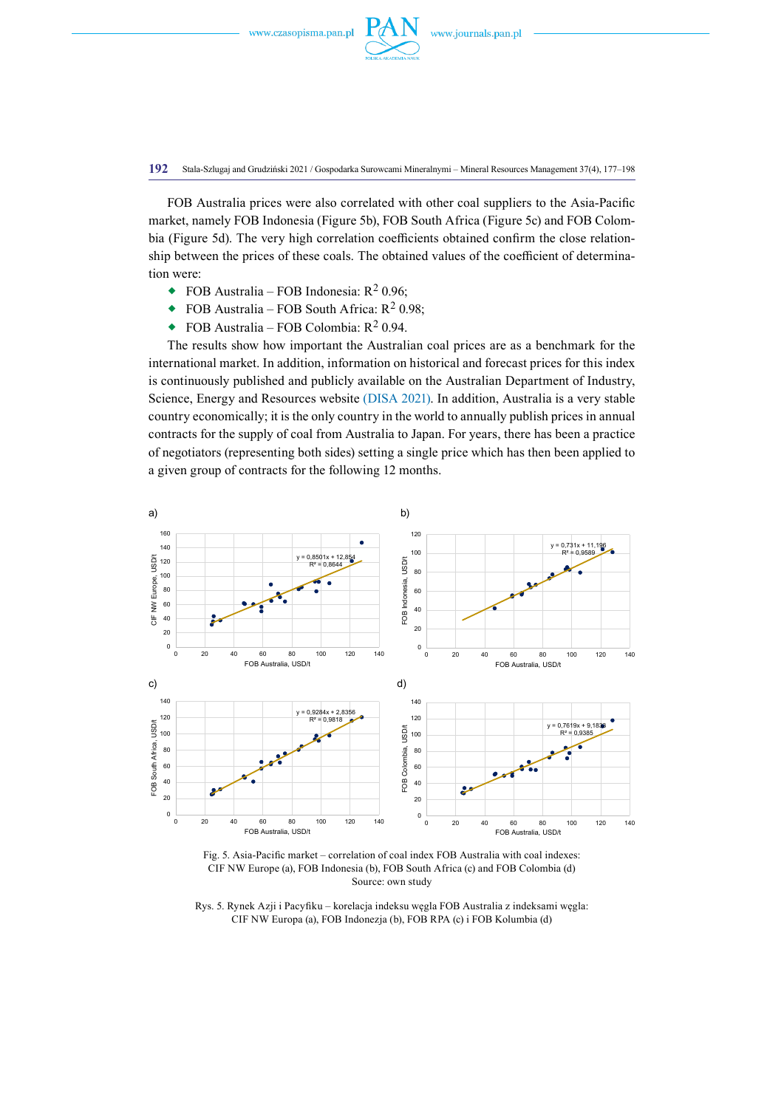

**192** Stala-Szlugaj and Grudziński 2021 / Gospodarka Surowcami Mineralnymi – Mineral Resources Management 37(4), 177–198

FOB Australia prices were also correlated with other coal suppliers to the Asia-Pacific market, namely FOB Indonesia (Figure 5b), FOB South Africa (Figure 5c) and FOB Colombia (Figure 5d). The very high correlation coefficients obtained confirm the close relationship between the prices of these coals. The obtained values of the coefficient of determination were:

- FOB Australia FOB Indonesia:  $R^2$  0.96;
- FOB Australia FOB South Africa:  $R^2$  0.98;
- $\bullet$  FOB Australia FOB Colombia: R<sup>2</sup> 0.94.

The results show how important the Australian coal prices are as a benchmark for the international market. In addition, information on historical and forecast prices for this index is continuously published and publicly available on the Australian Department of Industry, Science, Energy and Resources website (DISA 2021). In addition, Australia is a very stable country economically; it is the only country in the world to annually publish prices in annual contracts for the supply of coal from Australia to Japan. For years, there has been a practice of negotiators (representing both sides) setting a single price which has then been applied to a given group of contracts for the following 12 months.



Fig. 5. Asia-Pacific market – correlation of coal index FOB Australia with coal indexes: CIF NW Europe (a), FOB Indonesia (b), FOB South Africa (c) and FOB Colombia (d) Source: own study

Rys. 5. Rynek Azji i Pacyfiku – korelacja indeksu węgla FOB Australia z indeksami węgla: CIF NW Europa (a), FOB Indonezja (b), FOB RPA (c) i FOB Kolumbia (d)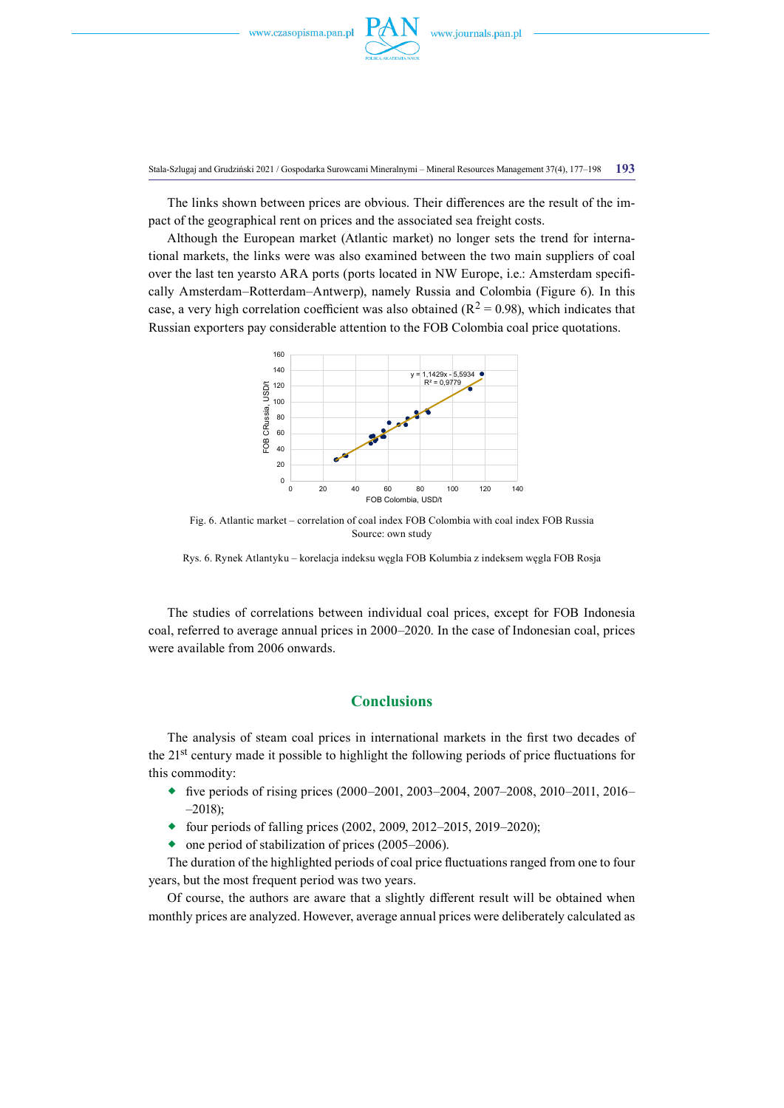

Stala-Szlugaj and Grudziński 2021 / Gospodarka Surowcami Mineralnymi – Mineral Resources Management 37(4), 177–198 **193**

The links shown between prices are obvious. Their differences are the result of the impact of the geographical rent on prices and the associated sea freight costs.

Although the European market (Atlantic market) no longer sets the trend for international markets, the links were was also examined between the two main suppliers of coal over the last ten yearsto ARA ports (ports located in NW Europe, i.e.: Amsterdam specifically Amsterdam–Rotterdam–Antwerp), namely Russia and Colombia (Figure 6). In this case, a very high correlation coefficient was also obtained ( $R^2 = 0.98$ ), which indicates that Russian exporters pay considerable attention to the FOB Colombia coal price quotations.



Fig. 6. Atlantic market – correlation of coal index FOB Colombia with coal index FOB Russia Source: own study

Rys. 6. Rynek Atlantyku – korelacja indeksu węgla FOB Kolumbia z indeksem węgla FOB Rosja

The studies of correlations between individual coal prices, except for FOB Indonesia coal, referred to average annual prices in 2000–2020. In the case of Indonesian coal, prices were available from 2006 onwards.

# **Conclusions**

The analysis of steam coal prices in international markets in the first two decades of the 21st century made it possible to highlight the following periods of price fluctuations for this commodity:

- $\bullet$  five periods of rising prices (2000–2001, 2003–2004, 2007–2008, 2010–2011, 2016– –2018);
- $\bullet$  four periods of falling prices (2002, 2009, 2012–2015, 2019–2020);
- $\bullet$  one period of stabilization of prices (2005–2006).

The duration of the highlighted periods of coal price fluctuations ranged from one to four years, but the most frequent period was two years.

Of course, the authors are aware that a slightly different result will be obtained when monthly prices are analyzed. However, average annual prices were deliberately calculated as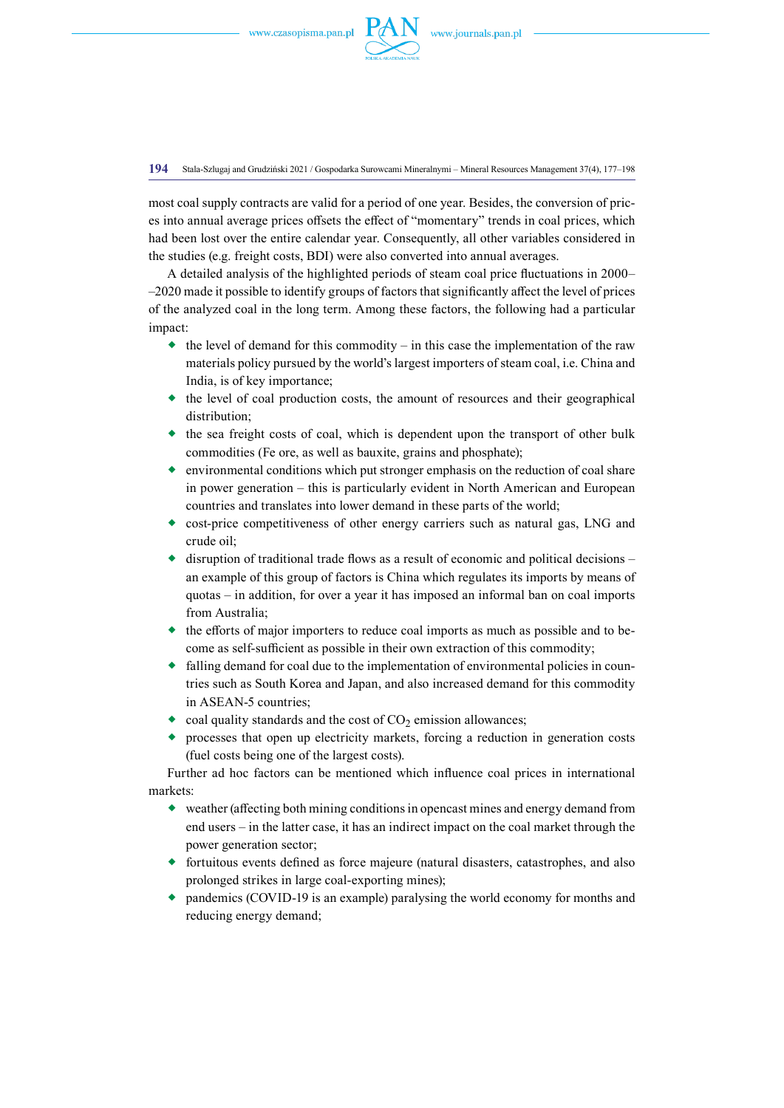

**194** Stala-Szlugaj and Grudziński 2021 / Gospodarka Surowcami Mineralnymi – Mineral Resources Management 37(4), 177–198

most coal supply contracts are valid for a period of one year. Besides, the conversion of prices into annual average prices offsets the effect of "momentary" trends in coal prices, which had been lost over the entire calendar year. Consequently, all other variables considered in the studies (e.g. freight costs, BDI) were also converted into annual averages.

A detailed analysis of the highlighted periods of steam coal price fluctuations in 2000– –2020 made it possible to identify groups of factors that significantly affect the level of prices of the analyzed coal in the long term. Among these factors, the following had a particular impact:

- $\bullet$  the level of demand for this commodity in this case the implementation of the raw materials policy pursued by the world's largest importers of steam coal, i.e. China and India, is of key importance;
- $\bullet$  the level of coal production costs, the amount of resources and their geographical distribution;
- $\bullet$  the sea freight costs of coal, which is dependent upon the transport of other bulk commodities (Fe ore, as well as bauxite, grains and phosphate);
- $\bullet$  environmental conditions which put stronger emphasis on the reduction of coal share in power generation – this is particularly evident in North American and European countries and translates into lower demand in these parts of the world;
- cost-price competitiveness of other energy carriers such as natural gas, LNG and crude oil;
- disruption of traditional trade flows as a result of economic and political decisions an example of this group of factors is China which regulates its imports by means of quotas – in addition, for over a year it has imposed an informal ban on coal imports from Australia;
- $\bullet$  the efforts of major importers to reduce coal imports as much as possible and to become as self-sufficient as possible in their own extraction of this commodity;
- falling demand for coal due to the implementation of environmental policies in countries such as South Korea and Japan, and also increased demand for this commodity in ASEAN-5 countries;
- $\bullet$  coal quality standards and the cost of CO<sub>2</sub> emission allowances;
- processes that open up electricity markets, forcing a reduction in generation costs (fuel costs being one of the largest costs).

Further ad hoc factors can be mentioned which influence coal prices in international markets:

- weather (affecting both mining conditions in opencast mines and energy demand from end users – in the latter case, it has an indirect impact on the coal market through the power generation sector;
- fortuitous events defined as force majeure (natural disasters, catastrophes, and also prolonged strikes in large coal-exporting mines);
- pandemics (COVID-19 is an example) paralysing the world economy for months and reducing energy demand;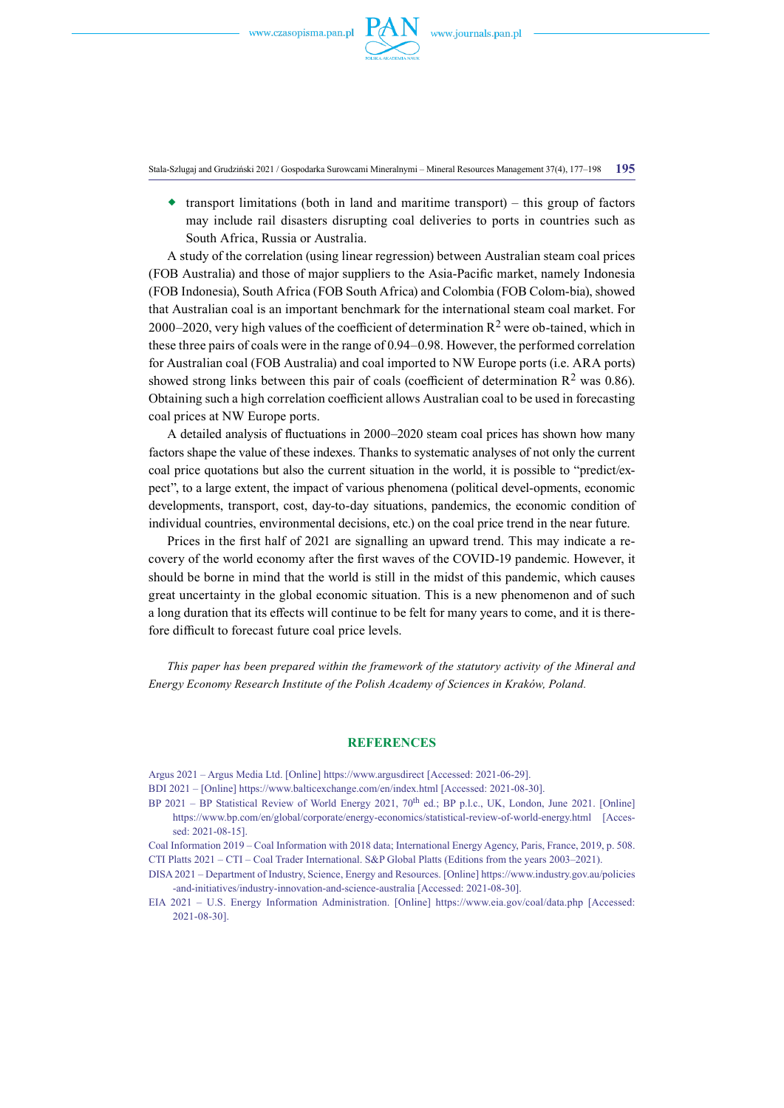

Stala-Szlugaj and Grudziński 2021 / Gospodarka Surowcami Mineralnymi – Mineral Resources Management 37(4), 177–198 **195**

 $\bullet$  transport limitations (both in land and maritime transport) – this group of factors may include rail disasters disrupting coal deliveries to ports in countries such as South Africa, Russia or Australia.

A study of the correlation (using linear regression) between Australian steam coal prices (FOB Australia) and those of major suppliers to the Asia-Pacific market, namely Indonesia (FOB Indonesia), South Africa (FOB South Africa) and Colombia (FOB Colom-bia), showed that Australian coal is an important benchmark for the international steam coal market. For 2000–2020, very high values of the coefficient of determination  $R^2$  were ob-tained, which in these three pairs of coals were in the range of 0.94–0.98. However, the performed correlation for Australian coal (FOB Australia) and coal imported to NW Europe ports (i.e. ARA ports) showed strong links between this pair of coals (coefficient of determination  $\mathbb{R}^2$  was 0.86). Obtaining such a high correlation coefficient allows Australian coal to be used in forecasting coal prices at NW Europe ports.

A detailed analysis of fluctuations in 2000–2020 steam coal prices has shown how many factors shape the value of these indexes. Thanks to systematic analyses of not only the current coal price quotations but also the current situation in the world, it is possible to "predict/expect", to a large extent, the impact of various phenomena (political devel-opments, economic developments, transport, cost, day-to-day situations, pandemics, the economic condition of individual countries, environmental decisions, etc.) on the coal price trend in the near future.

Prices in the first half of 2021 are signalling an upward trend. This may indicate a recovery of the world economy after the first waves of the COVID-19 pandemic. However, it should be borne in mind that the world is still in the midst of this pandemic, which causes great uncertainty in the global economic situation. This is a new phenomenon and of such a long duration that its effects will continue to be felt for many years to come, and it is therefore difficult to forecast future coal price levels.

*This paper has been prepared within the framework of the statutory activity of the Mineral and Energy Economy Research Institute of the Polish Academy of Sciences in Kraków, Poland.* 

## **References**

Argus 2021 – Argus Media Ltd. [Online] <https://www.argusdirect> [Accessed: 2021-06-29].

- BDI 2021 [Online] <https://www.balticexchange.com/en/index.html>[Accessed: 2021-08-30].
- BP 2021 BP Statistical Review of World Energy 2021, 70<sup>th</sup> ed.; BP p.l.c., UK, London, June 2021. [Online] <https://www.bp.com/en/global/corporate/energy-economics/statistical-review-of-world-energy.html> [Accessed: 2021-08-15].
- Coal Information 2019 Coal Information with 2018 data; International Energy Agency, Paris, France, 2019, p. 508. CTI Platts 2021 – CTI – Coal Trader International. S&P Global Platts (Editions from the years 2003–2021).
- DISA 2021 Department of Industry, Science, Energy and Resources. [Online] [https://www.industry.gov.au/policies](https://www.industry.gov.au/policies-and-initiatives/industry-innovation-and-science-australia) [-and-initiatives/industry-innovation-and-science-australia](https://www.industry.gov.au/policies-and-initiatives/industry-innovation-and-science-australia) [Accessed: 2021-08-30].
- EIA 2021 U.S. Energy Information Administration. [Online] <https://www.eia.gov/coal/data.php> [Accessed: 2021-08-30].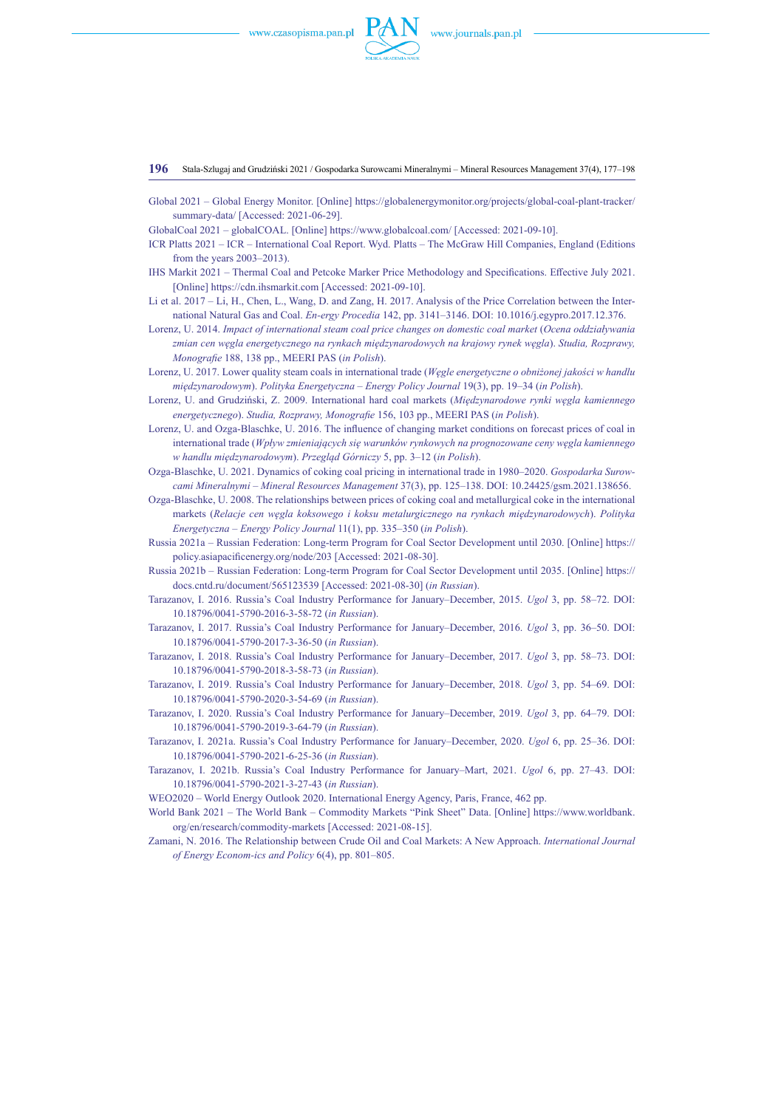

**196** Stala-Szlugaj and Grudziński 2021 / Gospodarka Surowcami Mineralnymi – Mineral Resources Management 37(4), 177–198

- Global 2021 Global Energy Monitor. [Online] [https://globalenergymonitor.org/projects/global-coal-plant-tracker/](https://globalenergymonitor.org/projects/global-coal-plant-tracker/summary-data/) [summary-data/](https://globalenergymonitor.org/projects/global-coal-plant-tracker/summary-data/) [Accessed: 2021-06-29].
- GlobalCoal 2021 globalCOAL. [Online] <https://www.globalcoal.com/>[Accessed: 2021-09-10].
- ICR Platts 2021 ICR International Coal Report. Wyd. Platts The McGraw Hill Companies, England (Editions from the years 2003–2013).
- IHS Markit 2021 Thermal Coal and Petcoke Marker Price Methodology and Specifications. Effective July 2021. [Online]<https://cdn.ihsmarkit.com> [Accessed: 2021-09-10].
- Li et al. 2017 Li, H., Chen, L., Wang, D. and Zang, H. 2017. Analysis of the Price Correlation between the International Natural Gas and Coal. *En-ergy Procedia* 142, pp. 3141–3146. DOI: [10.1016/j.egypro.2017.12.376.](https://doi.org/10.1016/j.egypro.2017.12.376)
- Lorenz, U. 2014. *Impact of international steam coal price changes on domestic coal market* (*Ocena oddziaływania zmian cen węgla energetycznego na rynkach międzynarodowych na krajowy rynek węgla*). *Studia, Rozprawy, Monografie* 188, 138 pp., MEERI PAS (*in Polish*).
- Lorenz, U. 2017. Lower quality steam coals in international trade (*Węgle energetyczne o obniżonej jakości w handlu międzynarodowym*). *Polityka Energetyczna – Energy Policy Journal* 19(3), pp. 19–34 (*in Polish*).
- Lorenz, U. and Grudziński, Z. 2009. International hard coal markets (*Międzynarodowe rynki węgla kamiennego energetycznego*). *Studia, Rozprawy, Monografie* 156, 103 pp., MEERI PAS (*in Polish*).
- Lorenz, U. and Ozga-Blaschke, U. 2016. The influence of changing market conditions on forecast prices of coal in international trade (*Wpływ zmieniających się warunków rynkowych na prognozowane ceny węgla kamiennego w handlu międzynarodowym*). *Przegląd Górniczy* 5, pp. 3–12 (*in Polish*).
- Ozga-Blaschke, U. 2021. Dynamics of coking coal pricing in international trade in 1980–2020. *Gospodarka Surowcami Mineralnymi – Mineral Resources Management* 37(3), pp. 125–138. [DOI: 10.24425/gsm.2021.138656.](http://DOI:%2010.24425/gsm.2021.138656)
- Ozga-Blaschke, U. 2008. The relationships between prices of coking coal and metallurgical coke in the international markets (*Relacje cen węgla koksowego i koksu metalurgicznego na rynkach międzynarodowych*). *Polityka Energetyczna – Energy Policy Journal* 11(1), pp. 335–350 (*in Polish*).
- Russia 2021a Russian Federation: Long-term Program for Coal Sector Development until 2030. [Online] [https://](https://policy.asiapacificenergy.org/node/203) [policy.asiapacificenergy.org/node/203](https://policy.asiapacificenergy.org/node/203) [Accessed: 2021-08-30].
- Russia 2021b Russian Federation: Long-term Program for Coal Sector Development until 2035. [Online] [https://](https://docs.cntd.ru/document/565123539) [docs.cntd.ru/document/565123539](https://docs.cntd.ru/document/565123539) [Accessed: 2021-08-30] (*in Russian*).
- Tarazanov, I. 2016. Russia's Coal Industry Performance for January–December, 2015. *Ugol* 3, pp. 58–72. DOI: [10.18796/0041-5790-2016-3-58-72](http://dx.doi.org/10.18796/0041-5790%E2%80%932016-3-58-72) (*in Russian*).
- Tarazanov, I. 2017. Russia's Coal Industry Performance for January–December, 2016. *Ugol* 3, pp. 36–50. DOI: [10.18796/0041-5790-2017-3-36-50](http://dx.doi.org/10.18796/0041-5790%E2%80%932017-3-36-50) (*in Russian*).
- Tarazanov, I. 2018. Russia's Coal Industry Performance for January–December, 2017. *Ugol* 3, pp. 58–73. DOI: [10.18796/0041-5790-2018-3-58-73](http://dx.doi.org/10.18796/0041-5790%E2%80%932018-3-58-73) (*in Russian*).
- Tarazanov, I. 2019. Russia's Coal Industry Performance for January–December, 2018. *Ugol* 3, pp. 54–69. DOI: [10.18796/0041-5790-2020-3-54-69](http://dx.doi.org/10.18796/0041-5790%E2%80%932020-3-54-69) (*in Russian*).
- Tarazanov, I. 2020. Russia's Coal Industry Performance for January–December, 2019. *Ugol* 3, pp. 64–79. DOI: [10.18796/0041-5790-2019-3-64-79](http://dx.doi.org/10.18796/0041-5790%E2%80%932019-3-64-79) (*in Russian*).
- Tarazanov, I. 2021a. Russia's Coal Industry Performance for January–December, 2020. *Ugol* 6, pp. 25–36. DOI: [10.18796/0041-5790-2021-6-25-36](http://dx.doi.org/10.18796/0041-5790%E2%80%932021-6-25-36) (*in Russian*).
- Tarazanov, I. 2021b. Russia's Coal Industry Performance for January–Mart, 2021. *Ugol* 6, pp. 27–43. DOI: [10.18796/0041-5790-2021-3-27-43](http://dx.doi.org/10.18796/0041-5790%E2%80%932021-3-27-43) (*in Russian*).
- WEO2020 World Energy Outlook 2020. International Energy Agency, Paris, France, 462 pp.
- World Bank 2021 The World Bank Commodity Markets "Pink Sheet" Data. [Online] [https://www.worldbank.](https://www.worldbank.org/en/research/commodity-markets) [org/en/research/commodity-markets](https://www.worldbank.org/en/research/commodity-markets) [Accessed: 2021-08-15].
- Zamani, N. 2016. The Relationship between Crude Oil and Coal Markets: A New Approach. *International Journal of Energy Econom-ics and Policy* 6(4), pp. 801–805.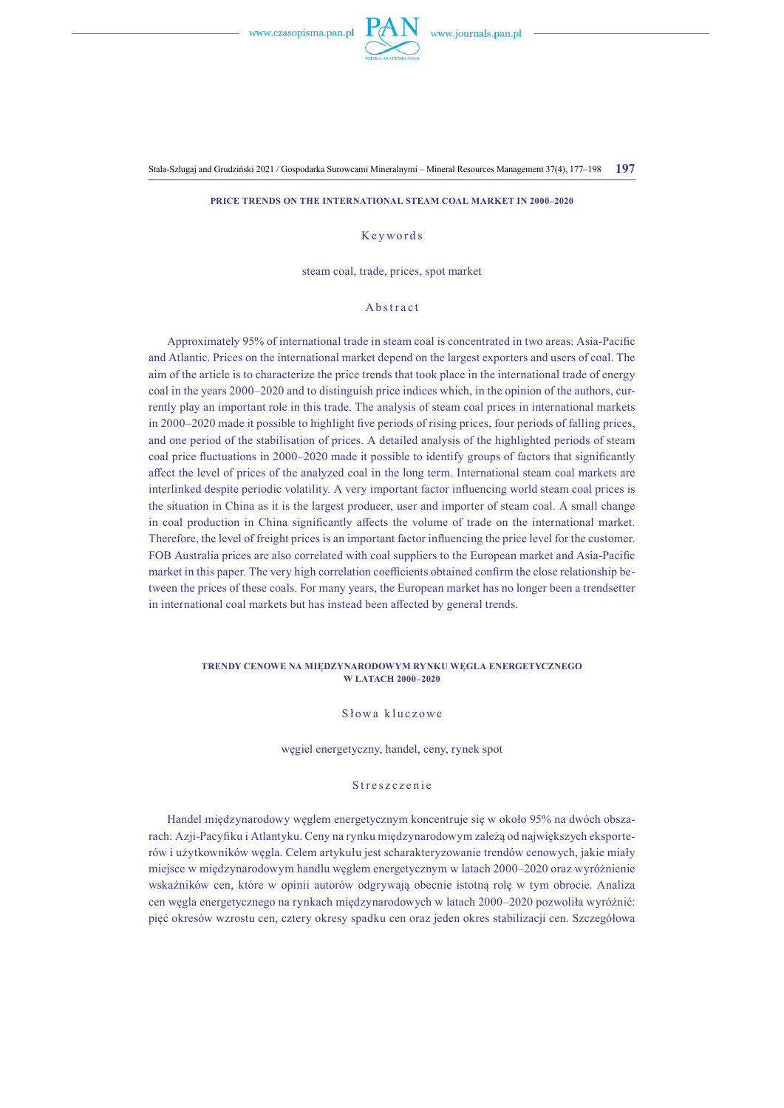

Stala-Szlugaj and Grudziński 2021 / Gospodarka Surowcami Mineralnymi – Mineral Resources Management 37(4), 177–198 **197**

#### **Price Trends on the International Steam Coal Market in 2000–2020**

## Keywords

steam coal, trade, prices, spot market

## Abstract

Approximately 95% of international trade in steam coal is concentrated in two areas: Asia-Pacific and Atlantic. Prices on the international market depend on the largest exporters and users of coal. The aim of the article is to characterize the price trends that took place in the international trade of energy coal in the years 2000–2020 and to distinguish price indices which, in the opinion of the authors, currently play an important role in this trade. The analysis of steam coal prices in international markets in 2000–2020 made it possible to highlight five periods of rising prices, four periods of falling prices, and one period of the stabilisation of prices. A detailed analysis of the highlighted periods of steam coal price fluctuations in 2000–2020 made it possible to identify groups of factors that significantly affect the level of prices of the analyzed coal in the long term. International steam coal markets are interlinked despite periodic volatility. A very important factor influencing world steam coal prices is the situation in China as it is the largest producer, user and importer of steam coal. A small change in coal production in China significantly affects the volume of trade on the international market. Therefore, the level of freight prices is an important factor influencing the price level for the customer. FOB Australia prices are also correlated with coal suppliers to the European market and Asia-Pacific market in this paper. The very high correlation coefficients obtained confirm the close relationship between the prices of these coals. For many years, the European market has no longer been a trendsetter in international coal markets but has instead been affected by general trends.

#### **Trendy cenowe na międzynarodowym rynku węgla energetycznego w latach 2000–2020**

## S łowa kluczowe

węgiel energetyczny, handel, ceny, rynek spot

#### Streszczenie

Handel międzynarodowy węglem energetycznym koncentruje się w około 95% na dwóch obszarach: Azji-Pacyfiku i Atlantyku. Ceny na rynku międzynarodowym zależą od największych eksporterów i użytkowników węgla. Celem artykułu jest scharakteryzowanie trendów cenowych, jakie miały miejsce w międzynarodowym handlu węglem energetycznym w latach 2000–2020 oraz wyróżnienie wskaźników cen, które w opinii autorów odgrywają obecnie istotną rolę w tym obrocie. Analiza cen węgla energetycznego na rynkach międzynarodowych w latach 2000–2020 pozwoliła wyróżnić: pięć okresów wzrostu cen, cztery okresy spadku cen oraz jeden okres stabilizacji cen. Szczegółowa